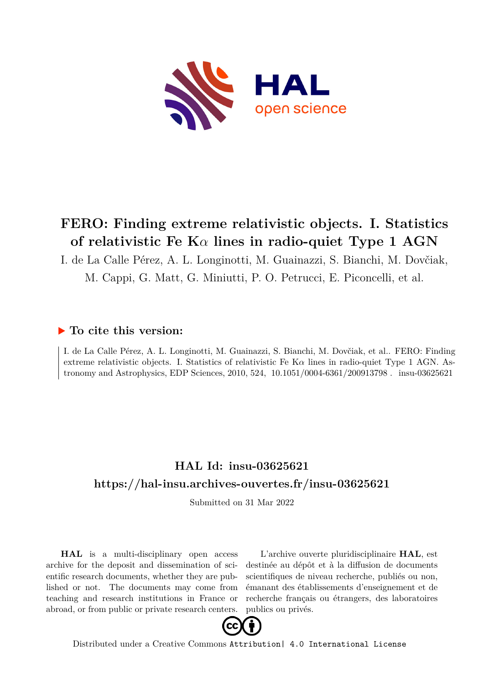

# **FERO: Finding extreme relativistic objects. I. Statistics of relativistic Fe K***α* **lines in radio-quiet Type 1 AGN**

I. de La Calle Pérez, A. L. Longinotti, M. Guainazzi, S. Bianchi, M. Dovčiak,

M. Cappi, G. Matt, G. Miniutti, P. O. Petrucci, E. Piconcelli, et al.

# **To cite this version:**

I. de La Calle Pérez, A. L. Longinotti, M. Guainazzi, S. Bianchi, M. Dovčiak, et al.. FERO: Finding extreme relativistic objects. I. Statistics of relativistic Fe K*α* lines in radio-quiet Type 1 AGN. Astronomy and Astrophysics, EDP Sciences, 2010, 524, 10.1051/0004-6361/200913798. insu-03625621

# **HAL Id: insu-03625621 <https://hal-insu.archives-ouvertes.fr/insu-03625621>**

Submitted on 31 Mar 2022

**HAL** is a multi-disciplinary open access archive for the deposit and dissemination of scientific research documents, whether they are published or not. The documents may come from teaching and research institutions in France or abroad, or from public or private research centers.

L'archive ouverte pluridisciplinaire **HAL**, est destinée au dépôt et à la diffusion de documents scientifiques de niveau recherche, publiés ou non, émanant des établissements d'enseignement et de recherche français ou étrangers, des laboratoires publics ou privés.



Distributed under a Creative Commons [Attribution| 4.0 International License](http://creativecommons.org/licenses/by/4.0/)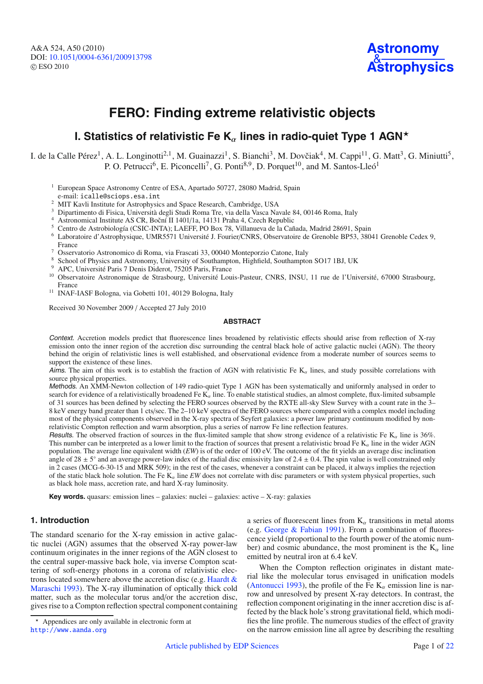A&A 524, A50 (2010) DOI: 10.1051/0004-6361/[200913798](http://dx.doi.org/10.1051/0004-6361/200913798) © ESO 2010



# **FERO: Finding extreme relativistic objects**

# **I. Statistics of relativistic Fe K<sub>α</sub> lines in radio-quiet Type 1 AGN<sup>\*</sup>**

I. de la Calle Pérez<sup>1</sup>, A. L. Longinotti<sup>2,1</sup>, M. Guainazzi<sup>1</sup>, S. Bianchi<sup>3</sup>, M. Dovčiak<sup>4</sup>, M. Cappi<sup>11</sup>, G. Matt<sup>3</sup>, G. Miniutti<sup>5</sup>, P. O. Petrucci<sup>6</sup>, E. Piconcelli<sup>7</sup>, G. Ponti<sup>8,9</sup>, D. Porquet<sup>10</sup>, and M. Santos-Lleó<sup>1</sup>

- <sup>1</sup> European Space Astronomy Centre of ESA, Apartado 50727, 28080 Madrid, Spain e-mail: icalle@sciops.esa.int
- <sup>2</sup> MIT Kavli Institute for Astrophysics and Space Research, Cambridge, USA
- <sup>3</sup> Dipartimento di Fisica, Università degli Studi Roma Tre, via della Vasca Navale 84, 00146 Roma, Italy <sup>4</sup> Astronomical Institute AS CR, Boční II 1401/1a, 14131 Praha 4, Czech Republic
- 
- <sup>5</sup> Centro de Astrobiología (CSIC-INTA); LAEFF, PO Box 78, Villanueva de la Cañada, Madrid 28691, Spain
- <sup>6</sup> Laboratoire d'Astrophysique, UMR5571 Université J. Fourier/CNRS, Observatoire de Grenoble BP53, 38041 Grenoble Cedex 9, France
- <sup>7</sup> Osservatorio Astronomico di Roma, via Frascati 33, 00040 Monteporzio Catone, Italy
- <sup>8</sup> School of Physics and Astronomy, University of Southampton, Highfield, Southampton SO17 1BJ, UK
- <sup>9</sup> APC, Université Paris 7 Denis Diderot, 75205 Paris, France<br><sup>10</sup> Observatoire, Astronomique de Stresbourg, Université Lou
- <sup>10</sup> Observatoire Astronomique de Strasbourg, Université Louis-Pasteur, CNRS, INSU, 11 rue de l'Université, 67000 Strasbourg, France
- <sup>11</sup> INAF-IASF Bologna, via Gobetti 101, 40129 Bologna, Italy

Received 30 November 2009 / Accepted 27 July 2010

#### **ABSTRACT**

Context. Accretion models predict that fluorescence lines broadened by relativistic effects should arise from reflection of X-ray emission onto the inner region of the accretion disc surrounding the central black hole of active galactic nuclei (AGN). The theory behind the origin of relativistic lines is well established, and observational evidence from a moderate number of sources seems to support the existence of these lines.

Aims. The aim of this work is to establish the fraction of AGN with relativistic Fe  $K_{\alpha}$  lines, and study possible correlations with source physical properties.

Methods. An XMM-Newton collection of 149 radio-quiet Type 1 AGN has been systematically and uniformly analysed in order to search for evidence of a relativistically broadened Fe  $K_{\alpha}$  line. To enable statistical studies, an almost complete, flux-limited subsample of 31 sources has been defined by selecting the FERO sources observed by the RXTE all-sky Slew Survey with a count rate in the 3– 8 keV energy band greater than 1 cts/sec. The 2–10 keV spectra of the FERO sources where compared with a complex model including most of the physical components observed in the X-ray spectra of Seyfert galaxies: a power law primary continuum modified by nonrelativistic Compton reflection and warm absorption, plus a series of narrow Fe line reflection features.

Results. The observed fraction of sources in the flux-limited sample that show strong evidence of a relativistic Fe  $K_{\alpha}$  line is 36%. This number can be interpreted as a lower limit to the fraction of sources that present a relativistic broad Fe  $K_{\alpha}$  line in the wider AGN population. The average line equivalent width (*EW*) is of the order of 100 eV. The outcome of the fit yields an average disc inclination angle of  $28 \pm 5^\circ$  and an average power-law index of the radial disc emissivity law of  $2.4 \pm 0.4$ . The spin value is well constrained only in 2 cases (MCG-6-30-15 and MRK 509); in the rest of the cases, whenever a constraint can be placed, it always implies the rejection of the static black hole solution. The Fe  $K_{\alpha}$  line *EW* does not correlate with disc parameters or with system physical properties, such as black hole mass, accretion rate, and hard X-ray luminosity.

**Key words.** quasars: emission lines – galaxies: nuclei – galaxies: active – X-ray: galaxies

# **1. Introduction**

The standard scenario for the X-ray emission in active galactic nuclei (AGN) assumes that the observed X-ray power-law continuum originates in the inner regions of the AGN closest to the central super-massive back hole, via inverse Compton scattering of soft-energy photons in a corona of relativistic electrons located somewhere above the accretion disc (e.g. Haardt & Maraschi 1993). The X-ray illumination of optically thick cold matter, such as the molecular torus and/or the accretion disc, gives rise to a Compton reflection spectral component containing a series of fluorescent lines from  $K_{\alpha}$  transitions in metal atoms (e.g. George & Fabian 1991). From a combination of fluorescence yield (proportional to the fourth power of the atomic number) and cosmic abundance, the most prominent is the  $K_{\alpha}$  line emitted by neutral iron at 6.4 keV.

When the Compton reflection originates in distant material like the molecular torus envisaged in unification models (Antonucci 1993), the profile of the Fe  $K_{\alpha}$  emission line is narrow and unresolved by present X-ray detectors. In contrast, the reflection component originating in the inner accretion disc is affected by the black hole's strong gravitational field, which modifies the line profile. The numerous studies of the effect of gravity on the narrow emission line all agree by describing the resulting

<sup>\*</sup> Appendices are only available in electronic form at <http://www.aanda.org>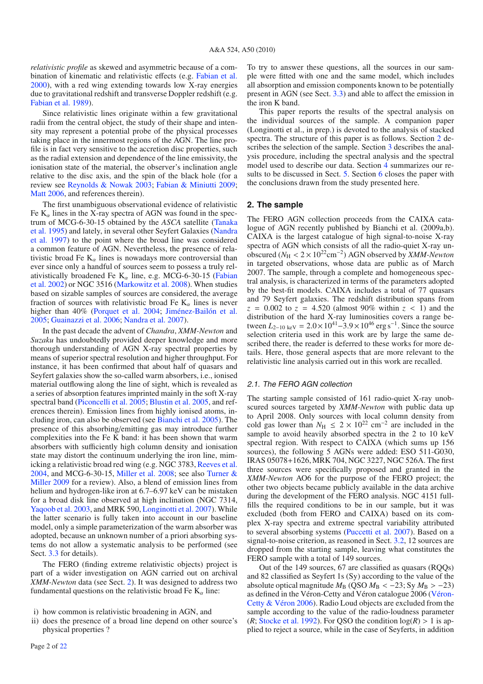*relativistic profile* as skewed and asymmetric because of a combination of kinematic and relativistic effects (e.g. Fabian et al. 2000), with a red wing extending towards low X-ray energies due to gravitational redshift and transverse Doppler redshift (e.g. Fabian et al. 1989).

Since relativistic lines originate within a few gravitational radii from the central object, the study of their shape and intensity may represent a potential probe of the physical processes taking place in the innermost regions of the AGN. The line profile is in fact very sensitive to the accretion disc properties, such as the radial extension and dependence of the line emissivity, the ionisation state of the material, the observer's inclination angle relative to the disc axis, and the spin of the black hole (for a review see Reynolds & Nowak 2003; Fabian & Miniutti 2009; Matt 2006, and references therein).

The first unambiguous observational evidence of relativistic Fe  $K_{\alpha}$  lines in the X-ray spectra of AGN was found in the spectrum of MCG-6-30-15 obtained by the *ASCA* satellite (Tanaka et al. 1995) and lately, in several other Seyfert Galaxies (Nandra et al. 1997) to the point where the broad line was considered a common feature of AGN. Nevertheless, the presence of relativistic broad Fe  $K_{\alpha}$  lines is nowadays more controversial than ever since only a handful of sources seem to possess a truly relativistically broadened Fe  $K_{\alpha}$  line, e.g. MCG-6-30-15 (Fabian et al. 2002) or NGC 3516 (Markowitz et al. 2008). When studies based on sizable samples of sources are considered, the average fraction of sources with relativistic broad Fe  $K_{\alpha}$  lines is never higher than 40% (Porquet et al. 2004; Jiménez-Bailón et al. 2005; Guainazzi et al. 2006; Nandra et al. 2007).

In the past decade the advent of *Chandra*, *XMM-Newton* and *Suzaku* has undoubtedly provided deeper knowledge and more thorough understanding of AGN X-ray spectral properties by means of superior spectral resolution and higher throughput. For instance, it has been confirmed that about half of quasars and Seyfert galaxies show the so-called warm absorbers, i.e., ionised material outflowing along the line of sight, which is revealed as a series of absorption features imprinted mainly in the soft X-ray spectral band (Piconcelli et al. 2005; Blustin et al. 2005, and references therein). Emission lines from highly ionised atoms, including iron, can also be observed (see Bianchi et al. 2005). The presence of this absorbing/emitting gas may introduce further complexities into the Fe K band: it has been shown that warm absorbers with sufficiently high column density and ionisation state may distort the continuum underlying the iron line, mimicking a relativistic broad red wing (e.g. NGC 3783, Reeves et al. 2004, and MCG-6-30-15, Miller et al. 2008; see also Turner & Miller 2009 for a review). Also, a blend of emission lines from helium and hydrogen-like iron at 6.7–6.97 keV can be mistaken for a broad disk line observed at high inclination (NGC 7314, Yaqoob et al. 2003, and MRK 590, Longinotti et al. 2007). While the latter scenario is fully taken into account in our baseline model, only a simple parameterization of the warm absorber was adopted, because an unknown number of a priori absorbing systems do not allow a systematic analysis to be performed (see Sect. 3.3 for details).

The FERO (finding extreme relativistic objects) project is part of a wider investigation on AGN carried out on archival *XMM-Newton* data (see Sect. 2). It was designed to address two fundamental questions on the relativistic broad Fe  $K_{\alpha}$  line:

To try to answer these questions, all the sources in our sample were fitted with one and the same model, which includes all absorption and emission components known to be potentially present in AGN (see Sect. 3.3) and able to affect the emission in the iron K band.

This paper reports the results of the spectral analysis on the individual sources of the sample. A companion paper (Longinotti et al., in prep.) is devoted to the analysis of stacked spectra. The structure of this paper is as follows. Section 2 describes the selection of the sample. Section 3 describes the analysis procedure, including the spectral analysis and the spectral model used to describe our data. Section 4 summarizes our results to be discussed in Sect. 5. Section 6 closes the paper with the conclusions drawn from the study presented here.

#### **2. The sample**

The FERO AGN collection proceeds from the CAIXA catalogue of AGN recently published by Bianchi et al. (2009a,b). CAIXA is the largest catalogue of high signal-to-noise X-ray spectra of AGN which consists of all the radio-quiet X-ray unobscured (*N*<sup>H</sup> < 2 × 1022cm−2) AGN observed by *XMM-Newton* in targeted observations, whose data are public as of March 2007. The sample, through a complete and homogeneous spectral analysis, is characterized in terms of the parameters adopted by the best-fit models. CAIXA includes a total of 77 quasars and 79 Seyfert galaxies. The redshift distribution spans from  $z = 0.002$  to  $z = 4.520$  (almost 90% within  $z < 1$ ) and the distribution of the hard X-ray luminosities covers a range between  $L_{2-10 \text{ keV}} = 2.0 \times 10^{41} - 3.9 \times 10^{46} \text{ erg s}^{-1}$ . Since the source selection criteria used in this work are by large the same described there, the reader is deferred to these works for more details. Here, those general aspects that are more relevant to the relativistic line analysis carried out in this work are recalled.

#### 2.1. The FERO AGN collection

The starting sample consisted of 161 radio-quiet X-ray unobscured sources targeted by *XMM-Newton* with public data up to April 2008. Only sources with local column density from cold gas lower than  $N_{\text{H}} \leq 2 \times 10^{22} \text{ cm}^{-2}$  are included in the sample to avoid heavily absorbed spectra in the 2 to 10 keV spectral region. With respect to CAIXA (which sums up 156 sources), the following 5 AGNs were added: ESO 511-G030, IRAS 05078+1626, MRK 704, NGC 3227, NGC 526A. The first three sources were specifically proposed and granted in the *XMM-Newton* AO6 for the purpose of the FERO project; the other two objects became publicly available in the data archive during the development of the FERO analysis. NGC 4151 fullfills the required conditions to be in our sample, but it was excluded (both from FERO and CAIXA) based on its complex X-ray spectra and extreme spectral variability attributed to several absorbing systems (Puccetti et al. 2007). Based on a signal-to-noise criterion, as reasoned in Sect. 3.2, 12 sources are dropped from the starting sample, leaving what constitutes the FERO sample with a total of 149 sources.

Out of the 149 sources, 67 are classified as quasars (RQQs) and 82 classified as Seyfert 1s (Sy) according to the value of the absolute optical magnitude  $M_B$  (QSO  $M_B < -23$ ; Sy  $M_B > -23$ ) as defined in the Véron-Cetty and Véron catalogue 2006 (Véron-Cetty & Véron 2006). Radio Loud objects are excluded from the sample according to the value of the radio-loudness parameter (*R*; Stocke et al. 1992). For QSO the condition  $log(R) > 1$  is applied to reject a source, while in the case of Seyferts, in addition

i) how common is relativistic broadening in AGN, and

ii) does the presence of a broad line depend on other source's physical properties ?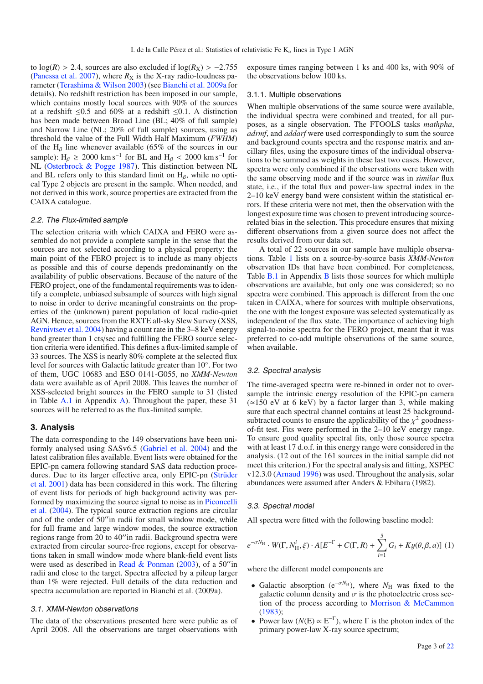to  $log(R) > 2.4$ , sources are also excluded if  $log(R_X) > -2.755$ (Panessa et al. 2007), where  $R_X$  is the X-ray radio-loudness parameter (Terashima & Wilson 2003) (see Bianchi et al. 2009a for details). No redshift restriction has been imposed in our sample, which contains mostly local sources with 90% of the sources at a redshift  $\leq 0.5$  and 60% at a redshift  $\leq 0.1$ . A distinction has been made between Broad Line (BL; 40% of full sample) and Narrow Line (NL; 20% of full sample) sources, using as threshold the value of the Full Width Half Maximum (*FWHM*) of the H<sub>β</sub> line whenever available (65% of the sources in our sample):  $H_\beta \ge 2000 \text{ km s}^{-1}$  for BL and  $H_\beta < 2000 \text{ km s}^{-1}$  for NL (Osterbrock & Pogge 1987). This distinction between NL and BL refers only to this standard limit on  $H_8$ , while no optical Type 2 objects are present in the sample. When needed, and not derived in this work, source properties are extracted from the CAIXA catalogue.

#### 2.2. The Flux-limited sample

The selection criteria with which CAIXA and FERO were assembled do not provide a complete sample in the sense that the sources are not selected according to a physical property: the main point of the FERO project is to include as many objects as possible and this of course depends predominantly on the availability of public observations. Because of the nature of the FERO project, one of the fundamental requirements was to identify a complete, unbiased subsample of sources with high signal to noise in order to derive meaningful constraints on the properties of the (unknown) parent population of local radio-quiet AGN. Hence, sources from the RXTE all-sky Slew Survey (XSS, Revnivtsev et al. 2004) having a count rate in the 3–8 keV energy band greater than 1 cts/sec and fulfilling the FERO source selection criteria were identified. This defines a flux-limited sample of 33 sources. The XSS is nearly 80% complete at the selected flux level for sources with Galactic latitude greater than 10◦. For two of them, UGC 10683 and ESO 0141-G055, no *XMM-Newton* data were available as of April 2008. This leaves the number of XSS-selected bright sources in the FERO sample to 31 (listed in Table A.1 in Appendix A). Throughout the paper, these 31 sources will be referred to as the flux-limited sample.

#### **3. Analysis**

The data corresponding to the 149 observations have been uniformly analysed using SASv6.5 (Gabriel et al. 2004) and the latest calibration files available. Event lists were obtained for the EPIC-pn camera following standard SAS data reduction procedures. Due to its larger effective area, only EPIC-pn (Strüder et al. 2001) data has been considered in this work. The filtering of event lists for periods of high background activity was performed by maximizing the source signal to noise as in Piconcelli et al. (2004). The typical source extraction regions are circular and of the order of 50" in radii for small window mode, while for full frame and large window modes, the source extraction regions range from 20 to 40" in radii. Background spectra were extracted from circular source-free regions, except for observations taken in small window mode where blank-field event lists were used as described in Read & Ponman  $(2003)$ , of a 50"in radii and close to the target. Spectra affected by a pileup larger than 1% were rejected. Full details of the data reduction and spectra accumulation are reported in Bianchi et al. (2009a).

### 3.1. XMM-Newton observations

The data of the observations presented here were public as of April 2008. All the observations are target observations with exposure times ranging between 1 ks and 400 ks, with 90% of the observations below 100 ks.

#### 3.1.1. Multiple observations

When multiple observations of the same source were available, the individual spectra were combined and treated, for all purposes, as a single observation. The FTOOLS tasks *mathpha*, *adrmf*, and *addarf* were used correspondingly to sum the source and background counts spectra and the response matrix and ancillary files, using the exposure times of the individual observations to be summed as weights in these last two cases. However, spectra were only combined if the observations were taken with the same observing mode and if the source was in *similar* flux state, i.e., if the total flux and power-law spectral index in the 2–10 keV energy band were consistent within the statistical errors. If these criteria were not met, then the observation with the longest exposure time was chosen to prevent introducing sourcerelated bias in the selection. This procedure ensures that mixing different observations from a given source does not affect the results derived from our data set.

A total of 22 sources in our sample have multiple observations. Table 1 lists on a source-by-source basis *XMM-Newton* observation IDs that have been combined. For completeness, Table **B.1** in Appendix **B** lists those sources for which multiple observations are available, but only one was considered; so no spectra were combined. This approach is different from the one taken in CAIXA, where for sources with multiple observations, the one with the longest exposure was selected systematically as independent of the flux state. The importance of achieving high signal-to-noise spectra for the FERO project, meant that it was preferred to co-add multiple observations of the same source, when available.

#### 3.2. Spectral analysis

The time-averaged spectra were re-binned in order not to oversample the intrinsic energy resolution of the EPIC-pn camera  $(\simeq 150 \text{ eV}$  at 6 keV) by a factor larger than 3, while making sure that each spectral channel contains at least 25 backgroundsubtracted counts to ensure the applicability of the  $\chi^2$  goodnessof-fit test. Fits were performed in the 2–10 keV energy range. To ensure good quality spectral fits, only those source spectra with at least 17 d.o.f. in this energy range were considered in the analysis. (12 out of the 161 sources in the initial sample did not meet this criterion.) For the spectral analysis and fitting, XSPEC v12.3.0 (Arnaud 1996) was used. Throughout the analysis, solar abundances were assumed after Anders & Ebihara (1982).

#### 3.3. Spectral model

All spectra were fitted with the following baseline model:

$$
e^{-\sigma N_{\rm H}} \cdot W(\Gamma, N_{\rm H}^i, \xi) \cdot A[E^{-\Gamma} + C(\Gamma, R) + \sum_{i=1}^5 G_i + Ky(\theta, \beta, a)] \tag{1}
$$

where the different model components are

- Galactic absorption ( $e^{-\sigma N_H}$ ), where  $N_H$  was fixed to the galactic column density and  $\sigma$  is the photoelectric cross section of the process according to Morrison & McCammon (1983);
- Power law  $(N(E) \propto E^{-\Gamma})$ , where  $\Gamma$  is the photon index of the primary power-law X-ray source spectrum;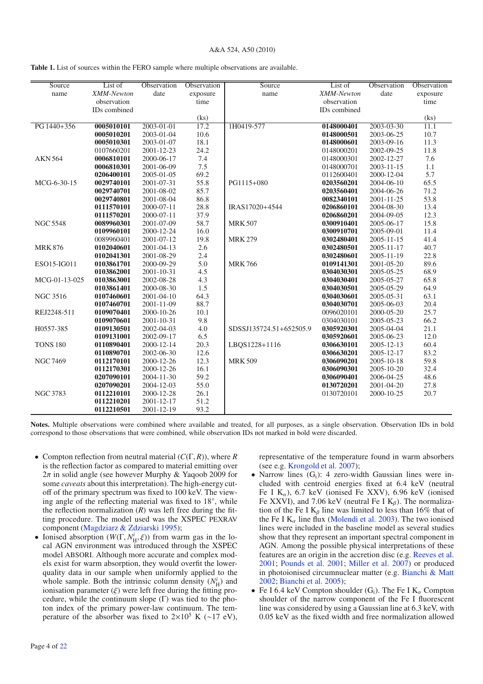| Source          | List of      | Observation | Observation | Source                  | List of      | Observation      | Observation       |
|-----------------|--------------|-------------|-------------|-------------------------|--------------|------------------|-------------------|
| name            | XMM-Newton   | date        | exposure    | name                    | XMM-Newton   | date             | exposure          |
|                 | observation  |             | time        |                         | observation  |                  | time              |
|                 | IDs combined |             |             |                         | IDs combined |                  |                   |
|                 |              |             | (ks)        |                         |              |                  | (ks)              |
| PG 1440+356     | 0005010101   | 2003-01-01  | 17.2        | 1H0419-577              | 0148000401   | 2003-03-30       | $\overline{11.1}$ |
|                 | 0005010201   | 2003-01-04  | 10.6        |                         | 0148000501   | 2003-06-25       | 10.7              |
|                 | 0005010301   | 2003-01-07  | 18.1        |                         | 0148000601   | 2003-09-16       | 11.3              |
|                 | 0107660201   | 2001-12-23  | 24.2        |                         | 0148000201   | 2002-09-25       | 11.8              |
| <b>AKN 564</b>  | 0006810101   | 2000-06-17  | 7.4         |                         | 0148000301   | 2002-12-27       | 7.6               |
|                 | 0006810301   | 2001-06-09  | 7.5         |                         | 0148000701   | 2003-11-15       | 1.1               |
|                 | 0206400101   | 2005-01-05  | 69.2        |                         | 0112600401   | 2000-12-04       | 5.7               |
| MCG-6-30-15     | 0029740101   | 2001-07-31  | 55.8        | PG1115+080              | 0203560201   | 2004-06-10       | 65.5              |
|                 | 0029740701   | 2001-08-02  | 85.7        |                         | 0203560401   | 2004-06-26       | 71.2              |
|                 | 0029740801   | 2001-08-04  | 86.8        |                         | 0082340101   | 2001-11-25       | 53.8              |
|                 | 0111570101   | 2000-07-11  | 28.8        | IRAS17020+4544          | 0206860101   | 2004-08-30       | 13.4              |
|                 | 0111570201   | 2000-07-11  | 37.9        |                         | 0206860201   | 2004-09-05       | 12.3              |
| <b>NGC 5548</b> | 0089960301   | 2001-07-09  | 58.7        | <b>MRK 507</b>          | 0300910401   | 2005-06-17       | 15.8              |
|                 | 0109960101   | 2000-12-24  | 16.0        |                         | 0300910701   | 2005-09-01       | 11.4              |
|                 | 0089960401   | 2001-07-12  | 19.8        | <b>MRK 279</b>          | 0302480401   | $2005 - 11 - 15$ | 41.4              |
| <b>MRK876</b>   | 0102040601   | 2001-04-13  | 2.6         |                         | 0302480501   | 2005-11-17       | 40.7              |
|                 | 0102041301   | 2001-08-29  | 2.4         |                         | 0302480601   | 2005-11-19       | 22.8              |
| ESO15-IG011     | 0103861701   | 2000-09-29  | 5.0         | <b>MRK766</b>           | 0109141301   | 2001-05-20       | 89.6              |
|                 | 0103862001   | 2001-10-31  | 4.5         |                         | 0304030301   | 2005-05-25       | 68.9              |
| MCG-01-13-025   | 0103863001   | 2002-08-28  | 4.3         |                         | 0304030401   | 2005-05-27       | 65.8              |
|                 | 0103861401   | 2000-08-30  | 1.5         |                         | 0304030501   | 2005-05-29       | 64.9              |
| <b>NGC 3516</b> | 0107460601   | 2001-04-10  | 64.3        |                         | 0304030601   | 2005-05-31       | 63.1              |
|                 | 0107460701   | 2001-11-09  | 88.7        |                         | 0304030701   | 2005-06-03       | 20.4              |
| REJ2248-511     | 0109070401   | 2000-10-26  | 10.1        |                         | 0096020101   | 2000-05-20       | 25.7              |
|                 | 0109070601   | 2001-10-31  | 9.8         |                         | 0304030101   | 2005-05-23       | 66.2              |
| H0557-385       | 0109130501   | 2002-04-03  | 4.0         | SDSSJ135724.51+652505.9 | 0305920301   | 2005-04-04       | 21.1              |
|                 | 0109131001   | 2002-09-17  | 6.5         |                         | 0305920601   | 2005-06-23       | 12.0              |
| <b>TONS 180</b> | 0110890401   | 2000-12-14  | 20.3        | LBQS1228+1116           | 0306630101   | 2005-12-13       | 60.4              |
|                 | 0110890701   | 2002-06-30  | 12.6        |                         | 0306630201   | 2005-12-17       | 83.2              |
| <b>NGC 7469</b> | 0112170101   | 2000-12-26  | 12.3        | <b>MRK 509</b>          | 0306090201   | 2005-10-18       | 59.8              |
|                 | 0112170301   | 2000-12-26  | 16.1        |                         | 0306090301   | 2005-10-20       | 32.4              |
|                 | 0207090101   | 2004-11-30  | 59.2        |                         | 0306090401   | 2006-04-25       | 48.6              |
|                 | 0207090201   | 2004-12-03  | 55.0        |                         | 0130720201   | 2001-04-20       | 27.8              |
| <b>NGC 3783</b> | 0112210101   | 2000-12-28  | 26.1        |                         | 0130720101   | 2000-10-25       | 20.7              |
|                 | 0112210201   | 2001-12-17  | 51.2        |                         |              |                  |                   |
|                 | 0112210501   | 2001-12-19  | 93.2        |                         |              |                  |                   |

| <b>Table 1.</b> List of sources within the FERO sample where multiple observations are available. |  |  |  |  |
|---------------------------------------------------------------------------------------------------|--|--|--|--|
|---------------------------------------------------------------------------------------------------|--|--|--|--|

**Notes.** Multiple observations were combined where available and treated, for all purposes, as a single observation. Observation IDs in bold correspond to those observations that were combined, while observation IDs not marked in bold were discarded.

- Compton reflection from neutral material (*C*(Γ, *R*)), where *R* is the reflection factor as compared to material emitting over  $2\pi$  in solid angle (see however Murphy & Yaqoob 2009 for some *caveats* about this interpretation). The high-energy cutoff of the primary spectrum was fixed to 100 keV. The viewing angle of the reflecting material was fixed to 18◦, while the reflection normalization  $(R)$  was left free during the fitting procedure. The model used was the XSPEC PEXRAV component (Magdziarz & Zdziarski 1995);
- Ionised absorption  $(W(\Gamma, N^i_H, \xi))$  from warm gas in the local AGN environment was introduced through the XSPEC model ABSORI. Although more accurate and complex models exist for warm absorption, they would overfit the lowerquality data in our sample when uniformly applied to the whole sample. Both the intrinsic column density  $(N_H^i)$  and ionisation parameter  $(\xi)$  were left free during the fitting procedure, while the continuum slope  $(Γ)$  was tied to the photon index of the primary power-law continuum. The temperature of the absorber was fixed to  $2\times10^5$  K (~17 eV),

representative of the temperature found in warm absorbers (see e.g. Krongold et al. 2007);

- Narrow lines  $(G_i)$ : 4 zero-width Gaussian lines were included with centroid energies fixed at 6.4 keV (neutral Fe I  $K_{\alpha}$ ), 6.7 keV (ionised Fe XXV), 6.96 keV (ionised Fe XXVI), and 7.06 keV (neutral Fe I  $K_\beta$ ). The normalization of the Fe I  $K_\beta$  line was limited to less than 16% that of the Fe I  $K_{\alpha}$  line flux (Molendi et al. 2003). The two ionised lines were included in the baseline model as several studies show that they represent an important spectral component in AGN. Among the possible physical interpretations of these features are an origin in the accretion disc (e.g. Reeves et al. 2001; Pounds et al. 2001; Miller et al. 2007) or produced in photoionised circumnuclear matter (e.g. Bianchi & Matt 2002; Bianchi et al. 2005);
- Fe I 6.4 keV Compton shoulder  $(G_i)$ . The Fe I  $K_\alpha$  Compton shoulder of the narrow component of the Fe I fluorescent line was considered by using a Gaussian line at 6.3 keV, with 0.05 keV as the fixed width and free normalization allowed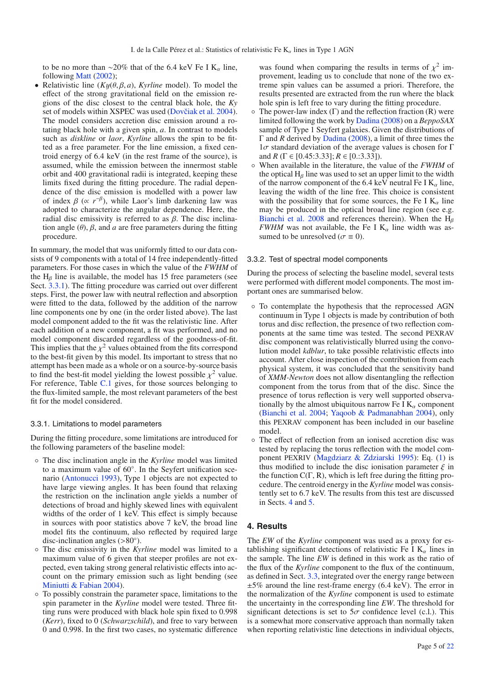to be no more than ∼20% that of the 6.4 keV Fe I K<sub>α</sub> line, following Matt (2002);

• Relativistic line  $(Ky(\theta, \beta, a), Kyrline \text{ model})$ . To model the effect of the strong gravitational field on the emission regions of the disc closest to the central black hole, the *Ky* set of models within XSPEC was used (Dovčiak et al. 2004). The model considers accretion disc emission around a rotating black hole with a given spin, *a*. In contrast to models such as *diskline* or *laor*, *Kyrline* allows the spin to be fitted as a free parameter. For the line emission, a fixed centroid energy of 6.4 keV (in the rest frame of the source), is assumed, while the emission between the innermost stable orbit and 400 gravitational radii is integrated, keeping these limits fixed during the fitting procedure. The radial dependence of the disc emission is modelled with a power law of index  $\beta$  ( $\propto r^{-\beta}$ ), while Laor's limb darkening law was adopted to characterize the angular dependence. Here, the radial disc emissivity is referred to as β. The disc inclination angle  $(\theta)$ ,  $\beta$ , and *a* are free parameters during the fitting procedure.

In summary, the model that was uniformly fitted to our data consists of 9 components with a total of 14 free independently-fitted parameters. For those cases in which the value of the *FWHM* of the  $H_\beta$  line is available, the model has 15 free parameters (see Sect. 3.3.1). The fitting procedure was carried out over different steps. First, the power law with neutral reflection and absorption were fitted to the data, followed by the addition of the narrow line components one by one (in the order listed above). The last model component added to the fit was the relativistic line. After each addition of a new component, a fit was performed, and no model component discarded regardless of the goodness-of-fit. This implies that the  $\chi^2$  values obtained from the fits correspond to the best-fit given by this model. Its important to stress that no attempt has been made as a whole or on a source-by-source basis to find the best-fit model yielding the lowest possible  $\chi^2$  value. For reference, Table C.1 gives, for those sources belonging to the flux-limited sample, the most relevant parameters of the best fit for the model considered.

## 3.3.1. Limitations to model parameters

During the fitting procedure, some limitations are introduced for the following parameters of the baseline model:

- The disc inclination angle in the *Kyrline* model was limited to a maximum value of 60◦. In the Seyfert unification scenario (Antonucci 1993), Type 1 objects are not expected to have large viewing angles. It has been found that relaxing the restriction on the inclination angle yields a number of detections of broad and highly skewed lines with equivalent widths of the order of 1 keV. This effect is simply because in sources with poor statistics above 7 keV, the broad line model fits the continuum, also reflected by required large disc-inclination angles (>80◦).
- The disc emissivity in the *Kyrline* model was limited to a maximum value of 6 given that steeper profiles are not expected, even taking strong general relativistic effects into account on the primary emission such as light bending (see Miniutti & Fabian 2004).
- To possibly constrain the parameter space, limitations to the spin parameter in the *Kyrline* model were tested. Three fitting runs were produced with black hole spin fixed to 0.998 (*Kerr*), fixed to 0 (*Schwarzschild*), and free to vary between 0 and 0.998. In the first two cases, no systematic difference

was found when comparing the results in terms of  $\chi^2$  improvement, leading us to conclude that none of the two extreme spin values can be assumed a priori. Therefore, the results presented are extracted from the run where the black hole spin is left free to vary during the fitting procedure.

- $\circ$  The power-law index (Γ) and the reflection fraction (R) were limited following the work by Dadina (2008) on a *BeppoSAX* sample of Type 1 Seyfert galaxies. Given the distributions of Γ and *R* derived by Dadina (2008), a limit of three times the  $1\sigma$  standard deviation of the average values is chosen for Γ and *R* ( $\Gamma \in [0.45:3.33]$ ;  $R \in [0.3.33]$ ).
- When available in the literature, the value of the *FWHM* of the optical  $H_\beta$  line was used to set an upper limit to the width of the narrow component of the 6.4 keV neutral Fe I  $K_{\alpha}$  line, leaving the width of the line free. This choice is consistent with the possibility that for some sources, the Fe I  $K_{\alpha}$  line may be produced in the optical broad line region (see e.g. Bianchi et al. 2008 and references therein). When the  $H<sub>β</sub>$ *FWHM* was not available, the Fe I  $K_\alpha$  line width was assumed to be unresolved ( $\sigma \equiv 0$ ).

#### 3.3.2. Test of spectral model components

During the process of selecting the baseline model, several tests were performed with different model components. The most important ones are summarised below.

- To contemplate the hypothesis that the reprocessed AGN continuum in Type 1 objects is made by contribution of both torus and disc reflection, the presence of two reflection components at the same time was tested. The second PEXRAV disc component was relativistically blurred using the convolution model *kdblur*, to take possible relativistic effects into account. After close inspection of the contribution from each physical system, it was concluded that the sensitivity band of *XMM-Newton* does not allow disentangling the reflection component from the torus from that of the disc. Since the presence of torus reflection is very well supported observationally by the almost ubiquitous narrow Fe I  $K_{\alpha}$  component (Bianchi et al. 2004; Yaqoob & Padmanabhan 2004), only this PEXRAV component has been included in our baseline model.
- The effect of reflection from an ionised accretion disc was tested by replacing the torus reflection with the model component PEXRIV (Magdziarz & Zdziarski 1995): Eq. (1) is thus modified to include the disc ionisation parameter  $\xi$  in the function  $C(\Gamma, R)$ , which is left free during the fitting procedure. The centroid energy in the *Kyrline* model was consistently set to 6.7 keV. The results from this test are discussed in Sects. 4 and 5.

## **4. Results**

The *EW* of the *Kyrline* component was used as a proxy for establishing significant detections of relativistic Fe I  $K_{\alpha}$  lines in the sample. The line *EW* is defined in this work as the ratio of the flux of the *Kyrline* component to the flux of the continuum, as defined in Sect. 3.3, integrated over the energy range between ±5% around the line rest-frame energy (6.4 keV). The error in the normalization of the *Kyrline* component is used to estimate the uncertainty in the corresponding line *EW*. The threshold for significant detections is set to  $5\sigma$  confidence level (c.l.). This is a somewhat more conservative approach than normally taken when reporting relativistic line detections in individual objects,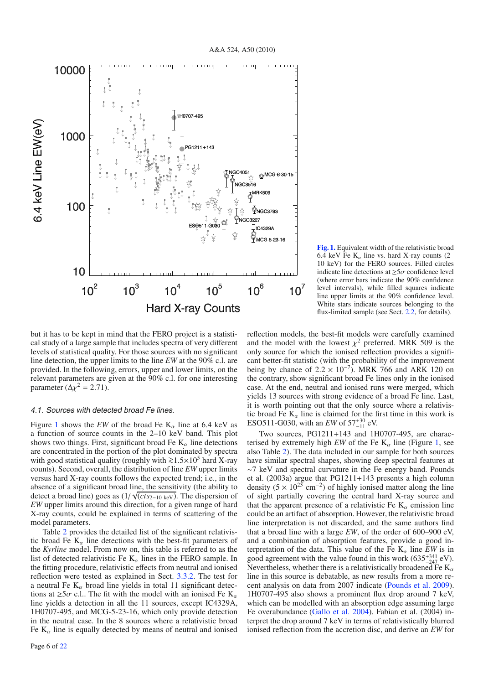

**[Fig. 1.](http://dexter.edpsciences.org/applet.php?DOI=10.1051/0004-6361/200913798&pdf_id=1)** Equivalent width of the relativistic broad 6.4 keV Fe  $K_{\alpha}$  line vs. hard X-ray counts (2– 10 keV) for the FERO sources. Filled circles indicate line detections at  $\geq 5\sigma$  confidence level (where error bars indicate the 90% confidence level intervals), while filled squares indicate line upper limits at the 90% confidence level. White stars indicate sources belonging to the flux-limited sample (see Sect. 2.2, for details).

but it has to be kept in mind that the FERO project is a statistical study of a large sample that includes spectra of very different levels of statistical quality. For those sources with no significant line detection, the upper limits to the line *EW* at the 90% c.l. are provided. In the following, errors, upper and lower limits, on the relevant parameters are given at the 90% c.l. for one interesting parameter ( $\Delta \chi^2 = 2.71$ ).

#### 4.1. Sources with detected broad Fe lines.

Figure 1 shows the *EW* of the broad Fe  $K_{\alpha}$  line at 6.4 keV as a function of source counts in the 2–10 keV band. This plot shows two things. First, significant broad Fe  $K_{\alpha}$  line detections are concentrated in the portion of the plot dominated by spectra with good statistical quality (roughly with  $\ge 1.5\times10^5$  hard X-ray counts). Second, overall, the distribution of line *EW* upper limits versus hard X-ray counts follows the expected trend; i.e., in the absence of a significant broad line, the sensitivity (the ability to detect a broad line) goes as  $(1/\sqrt{cts_{2-10 \text{ keV}}})$ . The dispersion of *EW* upper limits around this direction, for a given range of hard X-ray counts, could be explained in terms of scattering of the model parameters.

Table 2 provides the detailed list of the significant relativistic broad Fe  $K_{\alpha}$  line detections with the best-fit parameters of the *Kyrline* model. From now on, this table is referred to as the list of detected relativistic Fe  $K_{\alpha}$  lines in the FERO sample. In the fitting procedure, relativistic effects from neutral and ionised reflection were tested as explained in Sect. 3.3.2. The test for a neutral Fe  $K_{\alpha}$  broad line yields in total 11 significant detections at  $\geq 5\sigma$  c.l.. The fit with the model with an ionised Fe K<sub>α</sub> line yields a detection in all the 11 sources, except IC4329A, 1H0707-495, and MCG-5-23-16, which only provide detection in the neutral case. In the 8 sources where a relativistic broad Fe  $K_{\alpha}$  line is equally detected by means of neutral and ionised reflection models, the best-fit models were carefully examined and the model with the lowest  $\chi^2$  preferred. MRK 509 is the only source for which the ionised reflection provides a significant better-fit statistic (with the probability of the improvement being by chance of  $2.2 \times 10^{-7}$ ). MRK 766 and ARK 120 on the contrary, show significant broad Fe lines only in the ionised case. At the end, neutral and ionised runs were merged, which yields 13 sources with strong evidence of a broad Fe line. Last, it is worth pointing out that the only source where a relativistic broad Fe  $K_{\alpha}$  line is claimed for the first time in this work is ESO511-G030, with an *EW* of  $57^{+30}_{-11}$  eV.

Two sources, PG1211+143 and 1H0707-495, are characterised by extremely high *EW* of the Fe  $K_{\alpha}$  line (Figure 1, see also Table 2). The data included in our sample for both sources have similar spectral shapes, showing deep spectral features at ∼7 keV and spectral curvature in the Fe energy band. Pounds et al. (2003a) argue that PG1211+143 presents a high column density  $(5 \times 10^{23} \text{ cm}^{-2})$  of highly ionised matter along the line of sight partially covering the central hard X-ray source and that the apparent presence of a relativistic Fe  $K_{\alpha}$  emission line could be an artifact of absorption. However, the relativistic broad line interpretation is not discarded, and the same authors find that a broad line with a large *EW*, of the order of 600–900 eV, and a combination of absorption features, provide a good interpretation of the data. This value of the Fe  $K_{\alpha}$  line *EW* is in good agreement with the value found in this work  $(635^{+341}_{-247}$  eV). Nevertheless, whether there is a relativistically broadened Fe  $K_{\alpha}$ line in this source is debatable, as new results from a more recent analysis on data from 2007 indicate (Pounds et al. 2009). 1H0707-495 also shows a prominent flux drop around 7 keV, which can be modelled with an absorption edge assuming large Fe overabundance (Gallo et al. 2004). Fabian et al. (2004) interpret the drop around 7 keV in terms of relativistically blurred ionised reflection from the accretion disc, and derive an *EW* for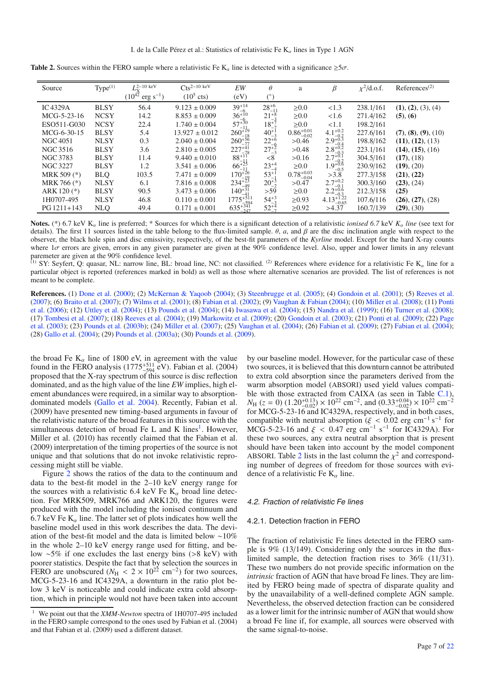| Source               | Type <sup>(1)</sup> | $-2 - 10$ keV                  | $C$ ts <sup>2-10</sup> keV | EW                   | $\theta$       | a                      | β                                                                         | $\chi^2$ /d.o.f. | References <sup>(2)</sup> |
|----------------------|---------------------|--------------------------------|----------------------------|----------------------|----------------|------------------------|---------------------------------------------------------------------------|------------------|---------------------------|
|                      |                     | $(10^{42}$<br>' $erg s^{-1}$ ) | $(10^5 \text{ cts})$       | (eV)                 | (°)            |                        |                                                                           |                  |                           |
| IC <sub>4329</sub> A | <b>BLSY</b>         | 56.4                           | $9.123 \pm 0.009$          | $39^{+14}$           | $28^{+6}$      | $\geq 0.0$             | <1.3                                                                      | 238.1/161        | (1), (2), (3), (4)        |
| MCG-5-23-16          | <b>NCSY</b>         | 14.2                           | $8.853 \pm 0.009$          | $36^{+10}_{-6}$      | $21^{+8}$      | $\geq 0.0$             | 1.6                                                                       | 271.4/162        | (5), (6)                  |
| ESO511-G030          | <b>NCSY</b>         | 22.4                           | $1.740 \pm 0.004$          | $57^{+30}_{-11}$     | $18^{+7}_{-7}$ | > 0.0                  | <1.1                                                                      | 198.2/161        |                           |
| MCG-6-30-15          | <b>BLSY</b>         | 5.4                            | $13.927 \pm 0.012$         | $260^{+19}_{-18}$    | $40^{+1}_{-3}$ | $0.86^{+0.01}_{-0.02}$ |                                                                           | 227.6/161        | (7), (8), (9), (10)       |
| NGC 4051             | <b>NLSY</b>         | 0.3                            | $2.040 \pm 0.004$          | $260^{+56}_{-77}$    | $22^{+6}$      | >0.46                  |                                                                           | 198.8/162        | (11), (12), (13)          |
| NGC 3516             | <b>BLSY</b>         | 3.6                            | $2.810 \pm 0.005$          | $227^{+41}_{-78}$    | $27^{+6}_{-3}$ | >0.48                  | 4.1+0.2<br>2.9+0.3<br>2.8+0.3<br>2.8+0.3<br>2.7+0.1<br>1.9+0.6<br>1.9-0.5 | 223.1/161        | (14), (15), (16)          |
| NGC 3783             | <b>BLSY</b>         | 11.4                           | $9.440 \pm 0.010$          | $88^{+11}_{-11}$     | < 8            | >0.16                  |                                                                           | 304.5/161        | (17), (18)                |
| <b>NGC 3227</b>      | <b>BLSY</b>         | 1.2                            | $3.541 \pm 0.006$          | $66^{+25}_{-11}$     | $23^{+4}$      | $\geq 0.0$             |                                                                           | 230.9/162        | (19), (20)                |
| MRK 509 (*)          | <b>BLQ</b>          | 103.5                          | $7.471 \pm 0.009$          | $170^{+26}_{-19}$    | $53^{+1}$      | $0.78_{-0.04}^{+0.03}$ | >3.8                                                                      | 277.3/158        | (21), (22)                |
| MRK 766 (*)          | <b>NLSY</b>         | 6.1                            | $7.816 \pm 0.008$          | $234_{-49}^{+23}$    | $20^{+3}_{-2}$ | >0.47                  | $2.7^{+0.2}_{-0.1}$                                                       | 300.3/160        | (23), (24)                |
| ARK 120 (*)          | <b>BLSY</b>         | 90.5                           | $3.473 \pm 0.006$          | $140^{+31}$          | > 59           | $\geq 0.0$             |                                                                           | 212.3/158        | (25)                      |
| 1H0707-495           | <b>NLSY</b>         | 46.8                           | $0.110 \pm 0.001$          | $1775_{-594}^{+511}$ | $54^{+3}_{-3}$ | $\geq 0.93$            | $2.2^{+0.6}_{-0.3}$<br>4.13 <sup>+1.22</sup>                              | 107.6/116        | (26), (27), (28)          |
| $PG 1211 + 143$      | <b>NLQ</b>          | 49.4                           | $0.171 \pm 0.001$          | $635 - 347$          | $52^{+4}_{-7}$ | $\geq 0.92$            | >4.37                                                                     | 160.7/139        | (29), (30)                |

**Table 2.** Sources within the FERO sample where a relativistic Fe K<sub>α</sub> line is detected with a significance  $\geq 5\sigma$ .

**Notes.** (\*) 6.7 keV  $K_{\alpha}$  line is preferred; \* Sources for which there is a significant detection of a relativistic *ionised 6.7* keV  $K_{\alpha}$  *line* (see text for details). The first 11 sources listed in the table belong to the flux-limited sample.  $\theta$ , *a*, and  $\beta$  are the disc inclination angle with respect to the observer, the black hole spin and disc emissivity, respectively, of the best-fit parameters of the *Kyrline* model. Except for the hard X-ray counts where  $1\sigma$  errors are given, errors in any given parameter are given at the 90% confidence level. Also, upper and lower limits in any relevant paremeter are given at the 90% confidence level.

(1) SY: Seyfert, Q: quasar, NL: narrow line, BL: broad line, NC: not classified. <sup>(2)</sup> References where evidence for a relativistic Fe  $K_{\alpha}$  line for a particular object is reported (references marked in bold) as well as those where alternative scenarios are provided. The list of references is not meant to be complete.

**References.** (1) Done et al. (2000); (2) McKernan & Yaqoob (2004); (3) Steenbrugge et al. (2005); (4) Gondoin et al. (2001); (5) Reeves et al. (2007); (6) Braito et al. (2007); (7) Wilms et al. (2001); (8) Fabian et al. (2002); (9) Vaughan & Fabian (2004); (10) Miller et al. (2008); (11) Ponti et al. (2006); (12) Uttley et al. (2004); (13) Pounds et al. (2004); (14) Iwasawa et al. (2004); (15) Nandra et al. (1999); (16) Turner et al. (2008); (17) Tombesi et al. (2007); (18) Reeves et al. (2004); (19) Markowitz et al. (2009); (20) Gondoin et al. (2003); (21) Ponti et al. (2009); (22) Page et al. (2003); (23) Pounds et al. (2003b); (24) Miller et al. (2007); (25) Vaughan et al. (2004); (26) Fabian et al. (2009); (27) Fabian et al. (2004); (28) Gallo et al. (2004); (29) Pounds et al. (2003a); (30) Pounds et al. (2009).

the broad Fe  $K_{\alpha}$  line of 1800 eV, in agreement with the value found in the FERO analysis  $(1775^{+511}_{-594}$  eV). Fabian et al. (2004) proposed that the X-ray spectrum of this source is disc reflection dominated, and as the high value of the line *EW* implies, high element abundances were required, in a similar way to absorptiondominated models (Gallo et al. 2004). Recently, Fabian et al. (2009) have presented new timing-based arguments in favour of the relativistic nature of the broad features in this source with the simultaneous detection of broad Fe  $L$  and  $K$  lines<sup>1</sup>. However, Miller et al. (2010) has recently claimed that the Fabian et al. (2009) interpretation of the timing properties of the source is not unique and that solutions that do not invoke relativistic reprocessing might still be viable.

Figure 2 shows the ratios of the data to the continuum and data to the best-fit model in the 2–10 keV energy range for the sources with a relativistic 6.4 keV Fe  $K_{\alpha}$  broad line detection. For MRK509, MRK766 and ARK120, the figures were produced with the model including the ionised continuum and 6.7 keV Fe  $K_{\alpha}$  line. The latter set of plots indicates how well the baseline model used in this work describes the data. The deviation of the best-fit model and the data is limited below ∼10% in the whole 2–10 keV energy range used for fitting, and below ∼5% if one excludes the last energy bins (>8 keV) with poorer statistics. Despite the fact that by selection the sources in FERO are unobscured  $(N_H < 2 \times 10^{22} \text{ cm}^{-2})$  for two sources, MCG-5-23-16 and IC4329A, a downturn in the ratio plot below 3 keV is noticeable and could indicate extra cold absorption, which in principle would not have been taken into account by our baseline model. However, for the particular case of these two sources, it is believed that this downturn cannot be attributed to extra cold absorption since the parameters derived from the warm absorption model (ABSORI) used yield values compatible with those extracted from CAIXA (as seen in Table C.1),  $N_{\text{H}}$  ( $z = 0$ ) (1.20<sup>+0.13</sup>) × 10<sup>22</sup> cm<sup>-2</sup>, and (0.33<sup>+0.04</sup>) × 10<sup>22</sup> cm<sup>-2</sup> for MCG-5-23-16 and IC4329A, respectively, and in both cases, compatible with neutral absorption ( $\xi$  < 0.02 erg cm<sup>-1</sup> s<sup>-1</sup> for MCG-5-23-16 and  $\xi$  < 0.47 erg cm<sup>-1</sup> s<sup>-1</sup> for IC4329A). For these two sources, any extra neutral absorption that is present should have been taken into account by the model component ABSORI. Table 2 lists in the last column the  $\chi^2$  and corresponding number of degrees of freedom for those sources with evidence of a relativistic Fe  $K_{\alpha}$  line.

#### 4.2. Fraction of relativistic Fe lines

#### 4.2.1. Detection fraction in FERO

The fraction of relativistic Fe lines detected in the FERO sample is 9% (13/149). Considering only the sources in the fluxlimited sample, the detection fraction rises to 36% (11/31). These two numbers do not provide specific information on the *intrinsic* fraction of AGN that have broad Fe lines. They are limited by FERO being made of spectra of disparate quality and by the unavailability of a well-defined complete AGN sample. Nevertheless, the observed detection fraction can be considered as a lower limit for the intrinsic number of AGN that would show a broad Fe line if, for example, all sources were observed with the same signal-to-noise.

<sup>1</sup> We point out that the *XMM-Newton* spectra of 1H0707-495 included in the FERO sample correspond to the ones used by Fabian et al. (2004) and that Fabian et al. (2009) used a different dataset.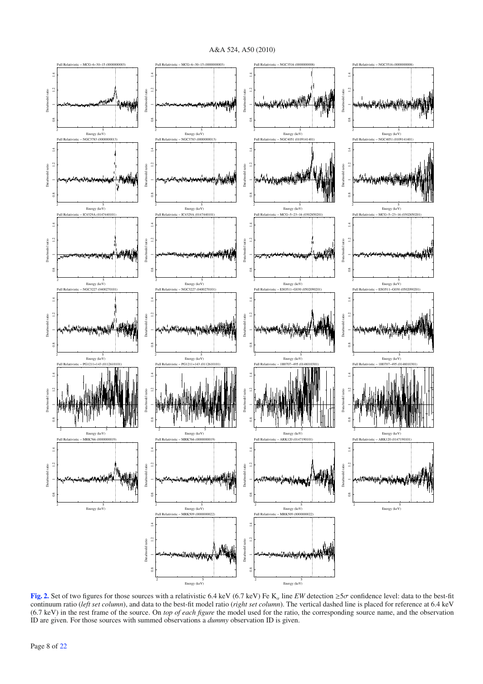A&A 524, A50 (2010)



**[Fig. 2.](http://dexter.edpsciences.org/applet.php?DOI=10.1051/0004-6361/200913798&pdf_id=2)** Set of two figures for those sources with a relativistic 6.4 keV (6.7 keV) Fe K<sub>a</sub> line *EW* detection  $\geq 5\sigma$  confidence level: data to the best-fit continuum ratio (*left set column*), and data to the best-fit model ratio (*right set column*). The vertical dashed line is placed for reference at 6.4 keV (6.7 keV) in the rest frame of the source. On *top of each figure* the model used for the ratio, the corresponding source name, and the observation ID are given. For those sources with summed observations a *dummy* observation ID is given.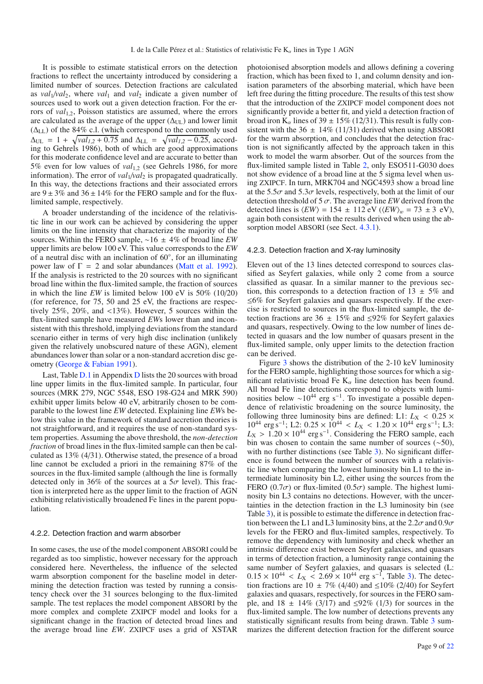It is possible to estimate statistical errors on the detection fractions to reflect the uncertainty introduced by considering a limited number of sources. Detection fractions are calculated as  $val_1/val_2$ , where  $val_1$  and  $val_2$  indicate a given number of sources used to work out a given detection fraction. For the errors of *val*<sub>12</sub>, Poisson statistics are assumed, where the errors are calculated as the average of the upper  $(\Delta_{\text{UL}})$  and lower limit  $(\Delta_{LL})$  of the 84% c.l. (which correspond to the commonly used  $\Delta_{\text{UL}} = 1 + \sqrt{val_{1,2} + 0.75}$  and  $\Delta_{\text{LL}} = \sqrt{val_{1,2} - 0.25}$ , according to Gehrels 1986), both of which are good approximations for this moderate confidence level and are accurate to better than 5% even for low values of *val*<sub>12</sub> (see Gehrels 1986, for more information). The error of  $val_1/val_2$  is propagated quadratically. In this way, the detections fractions and their associated errors are  $9 \pm 3\%$  and  $36 \pm 14\%$  for the FERO sample and for the fluxlimited sample, respectively.

A broader understanding of the incidence of the relativistic line in our work can be achieved by considering the upper limits on the line intensity that characterize the majority of the sources. Within the FERO sample, ∼16 ± 4% of broad line *EW* upper limits are below 100 eV. This value corresponds to the *EW* of a neutral disc with an inclination of 60◦, for an illuminating power law of  $\Gamma = 2$  and solar abundances (Matt et al. 1992). If the analysis is restricted to the 20 sources with no significant broad line within the flux-limited sample, the fraction of sources in which the line *EW* is limited below 100 eV is 50% (10/20) (for reference, for 75, 50 and 25 eV, the fractions are respectively 25%, 20%, and <13%). However, 5 sources within the flux-limited sample have measured *EW*s lower than and inconsistent with this threshold, implying deviations from the standard scenario either in terms of very high disc inclination (unlikely given the relatively unobscured nature of these AGN), element abundances lower than solar or a non-standard accretion disc geometry (George & Fabian 1991).

Last, Table D.1 in Appendix D lists the 20 sources with broad line upper limits in the flux-limited sample. In particular, four sources (MRK 279, NGC 5548, ESO 198-G24 and MRK 590) exhibit upper limits below 40 eV, arbitrarily chosen to be comparable to the lowest line *EW* detected. Explaining line *EW*s below this value in the framework of standard accretion theories is not straightforward, and it requires the use of non-standard system properties. Assuming the above threshold, the *non-detection fraction* of broad lines in the flux-limited sample can then be calculated as 13% (4/31). Otherwise stated, the presence of a broad line cannot be excluded a priori in the remaining 87% of the sources in the flux-limited sample (although the line is formally detected only in 36% of the sources at a  $5\sigma$  level). This fraction is interpreted here as the upper limit to the fraction of AGN exhibiting relativistically broadened Fe lines in the parent population.

#### 4.2.2. Detection fraction and warm absorber

In some cases, the use of the model component ABSORI could be regarded as too simplistic, however necessary for the approach considered here. Nevertheless, the influence of the selected warm absorption component for the baseline model in determining the detection fraction was tested by running a consistency check over the 31 sources belonging to the flux-limited sample. The test replaces the model component ABSORI by the more complex and complete ZXIPCF model and looks for a significant change in the fraction of detected broad lines and the average broad line *EW*. ZXIPCF uses a grid of XSTAR photoionised absorption models and allows defining a covering fraction, which has been fixed to 1, and column density and ionisation parameters of the absorbing material, which have been left free during the fitting procedure. The results of this test show that the introduction of the ZXIPCF model component does not significantly provide a better fit, and yield a detection fraction of broad iron  $K_{\alpha}$  lines of 39  $\pm$  15% (12/31). This result is fully consistent with the  $36 \pm 14\%$  (11/31) derived when using ABSORI for the warm absorption, and concludes that the detection fraction is not significantly affected by the approach taken in this work to model the warm absorber. Out of the sources from the flux-limited sample listed in Table 2, only ESO511-G030 does not show evidence of a broad line at the 5 sigma level when using ZXIPCF. In turn, MRK704 and NGC4593 show a broad line at the 5.5 $\sigma$  and 5.3 $\sigma$  levels, respectively, both at the limit of our detection threshold of 5  $\sigma$ . The average line *EW* derived from the detected lines is  $\langle EW \rangle = 154 \pm 112 \text{ eV}$  ( $\langle EW \rangle_w = 73 \pm 3 \text{ eV}$ ), again both consistent with the results derived when using the absorption model ABSORI (see Sect. 4.3.1).

#### 4.2.3. Detection fraction and X-ray luminosity

Eleven out of the 13 lines detected correspond to sources classified as Seyfert galaxies, while only 2 come from a source classified as quasar. In a similar manner to the previous section, this corresponds to a detection fraction of  $13 \pm 5\%$  and ≤6% for Seyfert galaxies and quasars respectively. If the exercise is restricted to sources in the flux-limited sample, the detection fractions are 36  $\pm$  15% and ≤92% for Seyfert galaxies and quasars, respectively. Owing to the low number of lines detected in quasars and the low number of quasars present in the flux-limited sample, only upper limits to the detection fraction can be derived.

Figure 3 shows the distribution of the 2-10 keV luminosity for the FERO sample, highlighting those sources for which a significant relativistic broad Fe  $K_{\alpha}$  line detection has been found. All broad Fe line detections correspond to objects with luminosities below  $\sim 10^{44}$  erg s<sup>-1</sup>. To investigate a possible dependence of relativistic broadening on the source luminosity, the following three luminosity bins are defined: L1:  $L_X < 0.25 \times$ 10<sup>44</sup> erg s<sup>-1</sup>; L2: 0.25 × 10<sup>44</sup> < *L*<sub>X</sub> < 1.20 × 10<sup>44</sup> erg s<sup>-1</sup>; L3:  $L_X$  > 1.20 × 10<sup>44</sup> erg s<sup>-1</sup>. Considering the FERO sample, each bin was chosen to contain the same number of sources (∼50), with no further distinctions (see Table 3). No significant difference is found between the number of sources with a relativistic line when comparing the lowest luminosity bin L1 to the intermediate luminosity bin L2, either using the sources from the FERO (0.7 $\sigma$ ) or flux-limited (0.5 $\sigma$ ) sample. The highest luminosity bin L3 contains no detections. However, with the uncertainties in the detection fraction in the L3 luminosity bin (see Table 3), it is possible to estimate the difference in detection fraction between the L1 and L3 luminosity bins, at the  $2.2\sigma$  and  $0.9\sigma$ levels for the FERO and flux-limited samples, respectively. To remove the dependency with luminosity and check whether an intrinsic difference exist between Seyfert galaxies, and quasars in terms of detection fraction, a luminosity range containing the same number of Seyfert galaxies, and quasars is selected (L:  $0.15 \times 10^{44} < L_{\rm X} < 2.69 \times 10^{44}$  erg s<sup>-1</sup>, Table 3). The detection fractions are 10  $\pm$  7% (4/40) and ≤10% (2/40) for Seyfert galaxies and quasars, respectively, for sources in the FERO sample, and  $18 \pm 14\%$  (3/17) and ≤92% (1/3) for sources in the flux-limited sample. The low number of detections prevents any statistically significant results from being drawn. Table 3 summarizes the different detection fraction for the different source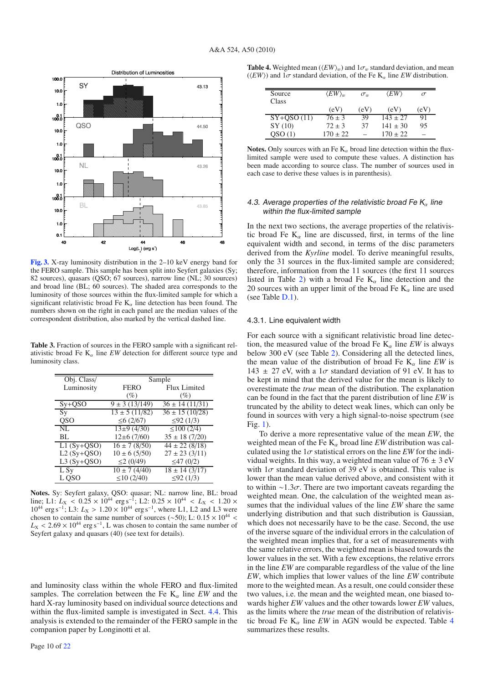

**[Fig. 3.](http://dexter.edpsciences.org/applet.php?DOI=10.1051/0004-6361/200913798&pdf_id=3)** X-ray luminosity distribution in the 2–10 keV energy band for the FERO sample. This sample has been split into Seyfert galaxies (Sy; 82 sources), quasars (QSO; 67 sources), narrow line (NL; 30 sources) and broad line (BL; 60 sources). The shaded area corresponds to the luminosity of those sources within the flux-limited sample for which a significant relativistic broad Fe  $K_{\alpha}$  line detection has been found. The numbers shown on the right in each panel are the median values of the correspondent distribution, also marked by the vertical dashed line.

**Table 3.** Fraction of sources in the FERO sample with a significant relativistic broad Fe  $K_{\alpha}$  line *EW* detection for different source type and luminosity class.

| Obj. Class/  | Sample             |                                |  |  |  |  |
|--------------|--------------------|--------------------------------|--|--|--|--|
| Luminosity   | <b>FERO</b>        | Flux Limited                   |  |  |  |  |
|              | $(\%)$             | (%)                            |  |  |  |  |
| $Sy+QSO$     | $9 \pm 3(13/149)$  | $36 \pm 14$ (11/31)            |  |  |  |  |
| Sy           | $13 \pm 5$ (11/82) | $\overline{36 \pm 15}$ (10/28) |  |  |  |  |
| <b>QSO</b>   | $\leq 6$ (2/67)    | $\leq$ 92 (1/3)                |  |  |  |  |
| NI.          | $13\pm9(4/30)$     | $\sqrt{\leq}100(2/4)$          |  |  |  |  |
| BL           | $12\pm 6(7/60)$    | $35 \pm 18$ (7/20)             |  |  |  |  |
| $L1(Sy+QSO)$ | $16 \pm 7$ (8/50)  | $44 \pm 22$ (8/18)             |  |  |  |  |
| $L2(Sy+QSO)$ | $10 \pm 6 (5/50)$  | $27 \pm 23$ (3/11)             |  |  |  |  |
| $L3(Sy+QSO)$ | $\leq$ 2 (0/49)    | ≤47 $(0/2)$                    |  |  |  |  |
| L Sy         | $10 \pm 7(4/40)$   | $18 \pm 14$ (3/17)             |  |  |  |  |
| L OSO        | $\leq$ 10 (2/40)   | $\leq$ 92 (1/3)                |  |  |  |  |

**Notes.** Sy: Seyfert galaxy, QSO: quasar; NL: narrow line, BL: broad line; L1:  $L_X < 0.25 \times 10^{44}$  erg s<sup>-1</sup>; L2:  $0.25 \times 10^{44} < L_X < 1.20 \times 10^{44}$ 10<sup>44</sup> erg s<sup>-1</sup>; L3: *L*<sub>X</sub> > 1.20 × 10<sup>44</sup> erg s<sup>-1</sup>, where L1, L2 and L3 were chosen to contain the same number of sources (~50); L:  $0.15 \times 10^{44}$  <  $L_X$  < 2.69 × 10<sup>44</sup> erg s<sup>-1</sup>, L was chosen to contain the same number of Seyfert galaxy and quasars (40) (see text for details).

and luminosity class within the whole FERO and flux-limited samples. The correlation between the Fe  $K_{\alpha}$  line *EW* and the hard X-ray luminosity based on individual source detections and within the flux-limited sample is investigated in Sect. 4.4. This analysis is extended to the remainder of the FERO sample in the companion paper by Longinotti et al.

| <b>Table 4.</b> Weighted mean $(\langle EW \rangle_w)$ and $1\sigma_w$ standard deviation, and mean                          |  |  |
|------------------------------------------------------------------------------------------------------------------------------|--|--|
| ( $\langle EW \rangle$ ) and 1 $\sigma$ standard deviation, of the Fe K <sub><math>\alpha</math></sub> line EW distribution. |  |  |

| Source<br>Class | $\langle EW\rangle_w$ | $\sigma_{w}$ | $\langle EW \rangle$ |      |
|-----------------|-----------------------|--------------|----------------------|------|
|                 | (eV)                  | (eV)         | (eV)                 | (eV) |
| $SY+OSO(11)$    | $76 \pm 3$            | 39           | $143 \pm 27$         | 91   |
| SY (10)         | $72 \pm 3$            | 37           | $141 \pm 30$         | 95   |
| OSO(1)          | $170 \pm 22$          |              | $170 \pm 22$         |      |

**Notes.** Only sources with an Fe  $K_{\alpha}$  broad line detection within the fluxlimited sample were used to compute these values. A distinction has been made according to source class. The number of sources used in each case to derive these values is in parenthesis).

### 4.3. Average properties of the relativistic broad Fe  $K_{\alpha}$  line within the flux-limited sample

In the next two sections, the average properties of the relativistic broad Fe  $K_{\alpha}$  line are discussed, first, in terms of the line equivalent width and second, in terms of the disc parameters derived from the *Kyrline* model. To derive meaningful results, only the 31 sources in the flux-limited sample are considered; therefore, information from the 11 sources (the first 11 sources listed in Table 2) with a broad Fe  $K_{\alpha}$  line detection and the 20 sources with an upper limit of the broad Fe  $K_{\alpha}$  line are used (see Table D.1).

#### 4.3.1. Line equivalent width

For each source with a significant relativistic broad line detection, the measured value of the broad Fe  $K_{\alpha}$  line *EW* is always below 300 eV (see Table 2). Considering all the detected lines, the mean value of the distribution of broad Fe  $K_{\alpha}$  line *EW* is 143  $\pm$  27 eV, with a 1 $\sigma$  standard deviation of 91 eV. It has to be kept in mind that the derived value for the mean is likely to overestimate the *true* mean of the distribution. The explanation can be found in the fact that the parent distribution of line *EW* is truncated by the ability to detect weak lines, which can only be found in sources with very a high signal-to-noise spectrum (see Fig. 1).

To derive a more representative value of the mean *EW*, the weighted mean of the Fe  $K_{\alpha}$  broad line *EW* distribution was calculated using the  $1\sigma$  statistical errors on the line *EW* for the individual weights. In this way, a weighted mean value of  $76 \pm 3$  eV with  $1\sigma$  standard deviation of 39 eV is obtained. This value is lower than the mean value derived above, and consistent with it to within  $\sim$ 1.3 $\sigma$ . There are two important caveats regarding the weighted mean. One, the calculation of the weighted mean assumes that the individual values of the line *EW* share the same underlying distribution and that such distribution is Gaussian, which does not necessarily have to be the case. Second, the use of the inverse square of the individual errors in the calculation of the weighted mean implies that, for a set of measurements with the same relative errors, the weighted mean is biased towards the lower values in the set. With a few exceptions, the relative errors in the line *EW* are comparable regardless of the value of the line *EW*, which implies that lower values of the line *EW* contribute more to the weighted mean. As a result, one could consider these two values, i.e. the mean and the weighted mean, one biased towards higher *EW* values and the other towards lower *EW* values, as the limits where the *true* mean of the distribution of relativistic broad Fe  $K_{\alpha}$  line *EW* in AGN would be expected. Table 4 summarizes these results.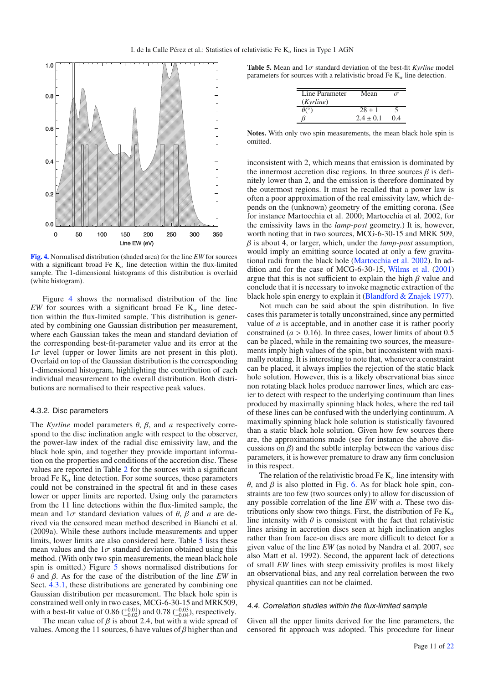

**[Fig. 4.](http://dexter.edpsciences.org/applet.php?DOI=10.1051/0004-6361/200913798&pdf_id=4)** Normalised distribution (shaded area) for the line *EW* for sources with a significant broad Fe  $K_{\alpha}$  line detection within the flux-limited sample. The 1-dimensional histograms of this distribution is overlaid (white histogram).

Figure 4 shows the normalised distribution of the line *EW* for sources with a significant broad Fe  $K_{\alpha}$  line detection within the flux-limited sample. This distribution is generated by combining one Gaussian distribution per measurement, where each Gaussian takes the mean and standard deviation of the corresponding best-fit-parameter value and its error at the  $1\sigma$  level (upper or lower limits are not present in this plot). Overlaid on top of the Gaussian distribution is the corresponding 1-dimensional histogram, highlighting the contribution of each individual measurement to the overall distribution. Both distributions are normalised to their respective peak values.

#### 4.3.2. Disc parameters

The *Kyrline* model parameters θ, β, and *a* respectively correspond to the disc inclination angle with respect to the observer, the power-law index of the radial disc emissivity law, and the black hole spin, and together they provide important information on the properties and conditions of the accretion disc. These values are reported in Table 2 for the sources with a significant broad Fe  $K_{\alpha}$  line detection. For some sources, these parameters could not be constrained in the spectral fit and in these cases lower or upper limits are reported. Using only the parameters from the 11 line detections within the flux-limited sample, the mean and  $1\sigma$  standard deviation values of  $\theta$ ,  $\beta$  and  $\alpha$  are derived via the censored mean method described in Bianchi et al. (2009a). While these authors include measurements and upper limits, lower limits are also considered here. Table 5 lists these mean values and the  $1\sigma$  standard deviation obtained using this method. (With only two spin measurements, the mean black hole spin is omitted.) Figure 5 shows normalised distributions for θ and β. As for the case of the distribution of the line *EW* in Sect. 4.3.1, these distributions are generated by combining one Gaussian distribution per measurement. The black hole spin is constrained well only in two cases, MCG-6-30-15 and MRK509, with a best-fit value of 0.86  $\binom{+0.01}{-0.02}$  and 0.78  $\binom{+0.03}{-0.04}$ , respectively.

The mean value of  $\beta$  is about 2.4, but with a wide spread of values. Among the 11 sources, 6 have values of  $\beta$  higher than and

**Table 5.** Mean and  $1\sigma$  standard deviation of the best-fit *Kyrline* model parameters for sources with a relativistic broad Fe  $K_{\alpha}$  line detection.

| Line Parameter<br>(Kyrline) | Mean          |       |
|-----------------------------|---------------|-------|
|                             | $28 \pm 1$    |       |
|                             | $2.4 \pm 0.1$ | (1.4) |

**Notes.** With only two spin measurements, the mean black hole spin is omitted.

inconsistent with 2, which means that emission is dominated by the innermost accretion disc regions. In three sources  $\beta$  is definitely lower than 2, and the emission is therefore dominated by the outermost regions. It must be recalled that a power law is often a poor approximation of the real emissivity law, which depends on the (unknown) geometry of the emitting corona. (See for instance Martocchia et al. 2000; Martocchia et al. 2002, for the emissivity laws in the *lamp-post* geometry.) It is, however, worth noting that in two sources, MCG-6-30-15 and MRK 509, β is about 4, or larger, which, under the *lamp-post* assumption, would imply an emitting source located at only a few gravitational radii from the black hole (Martocchia et al. 2002). In addition and for the case of MCG-6-30-15, Wilms et al. (2001) argue that this is not sufficient to explain the high  $\beta$  value and conclude that it is necessary to invoke magnetic extraction of the black hole spin energy to explain it (Blandford & Znajek 1977).

Not much can be said about the spin distribution. In five cases this parameter is totally unconstrained, since any permitted value of *a* is acceptable, and in another case it is rather poorly constrained ( $a > 0.16$ ). In three cases, lower limits of about 0.5 can be placed, while in the remaining two sources, the measurements imply high values of the spin, but inconsistent with maximally rotating. It is interesting to note that, whenever a constraint can be placed, it always implies the rejection of the static black hole solution. However, this is a likely observational bias since non rotating black holes produce narrower lines, which are easier to detect with respect to the underlying continuum than lines produced by maximally spinning black holes, where the red tail of these lines can be confused with the underlying continuum. A maximally spinning black hole solution is statistically favoured than a static black hole solution. Given how few sources there are, the approximations made (see for instance the above discussions on  $\beta$ ) and the subtle interplay between the various disc parameters, it is however premature to draw any firm conclusion in this respect.

The relation of the relativistic broad Fe  $K_{\alpha}$  line intensity with θ, and β is also plotted in Fig. 6. As for black hole spin, constraints are too few (two sources only) to allow for discussion of any possible correlation of the line *EW* with *a*. These two distributions only show two things. First, the distribution of Fe  $K_{\alpha}$ line intensity with  $\theta$  is consistent with the fact that relativistic lines arising in accretion discs seen at high inclination angles rather than from face-on discs are more difficult to detect for a given value of the line *EW* (as noted by Nandra et al. 2007, see also Matt et al. 1992). Second, the apparent lack of detections of small *EW* lines with steep emissivity profiles is most likely an observational bias, and any real correlation between the two physical quantities can not be claimed.

#### 4.4. Correlation studies within the flux-limited sample

Given all the upper limits derived for the line parameters, the censored fit approach was adopted. This procedure for linear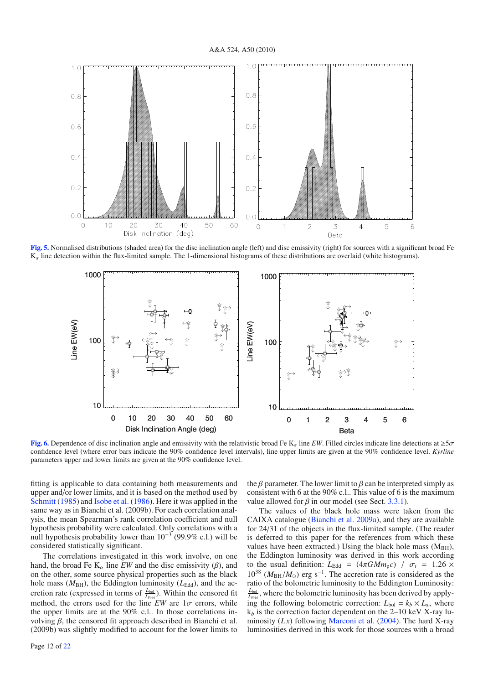## A&A 524, A50 (2010)



**[Fig. 5.](http://dexter.edpsciences.org/applet.php?DOI=10.1051/0004-6361/200913798&pdf_id=5)** Normalised distributions (shaded area) for the disc inclination angle (left) and disc emissivity (right) for sources with a significant broad Fe  $K_{\alpha}$  line detection within the flux-limited sample. The 1-dimensional histograms of these distributions are overlaid (white histograms).



**[Fig. 6.](http://dexter.edpsciences.org/applet.php?DOI=10.1051/0004-6361/200913798&pdf_id=6)** Dependence of disc inclination angle and emissivity with the relativistic broad Fe K<sub>a</sub> line *EW*. Filled circles indicate line detections at  $\geq 5\sigma$ confidence level (where error bars indicate the 90% confidence level intervals), line upper limits are given at the 90% confidence level. *Kyrline* parameters upper and lower limits are given at the 90% confidence level.

fitting is applicable to data containing both measurements and upper and/or lower limits, and it is based on the method used by Schmitt (1985) and Isobe et al. (1986). Here it was applied in the same way as in Bianchi et al. (2009b). For each correlation analysis, the mean Spearman's rank correlation coefficient and null hypothesis probability were calculated. Only correlations with a null hypothesis probability lower than  $10^{-3}$  (99.9% c.l.) will be considered statistically significant.

The correlations investigated in this work involve, on one hand, the broad Fe  $K_{\alpha}$  line *EW* and the disc emissivity ( $\beta$ ), and on the other, some source physical properties such as the black hole mass ( $M_{BH}$ ), the Eddington luminosity ( $L_{Edd}$ ), and the accretion rate (expressed in terms of  $\frac{L_{\text{bol}}}{L_{\text{Edd}}}$ ). Within the censored fit method, the errors used for the line *EW* are  $1\sigma$  errors, while the upper limits are at the 90% c.l.. In those correlations involving  $β$ , the censored fit approach described in Bianchi et al. (2009b) was slightly modified to account for the lower limits to the  $\beta$  parameter. The lower limit to  $\beta$  can be interpreted simply as consistent with 6 at the 90% c.l.. This value of 6 is the maximum value allowed for  $\beta$  in our model (see Sect. 3.3.1).

The values of the black hole mass were taken from the CAIXA catalogue (Bianchi et al. 2009a), and they are available for 24/31 of the objects in the flux-limited sample. (The reader is deferred to this paper for the references from which these values have been extracted.) Using the black hole mass  $(M<sub>BH</sub>)$ , the Eddington luminosity was derived in this work according to the usual definition:  $L_{\text{Edd}} = (4\pi GMm_p c) / \sigma_t = 1.26 \times$  $10^{38}$  ( $M_{\text{BH}}/M_{\odot}$ ) erg s<sup>-1</sup>. The accretion rate is considered as the ratio of the bolometric luminosity to the Eddington Luminosity:  $\frac{L_{\text{bol}}}{L_{\text{Edd}}}$ , where the bolometric luminosity has been derived by applying the following bolometric correction:  $L_{bol} = k_b \times L_x$ , where  $k_b$  is the correction factor dependent on the 2–10 keV X-ray luminosity (*Lx*) following Marconi et al. (2004). The hard X-ray luminosities derived in this work for those sources with a broad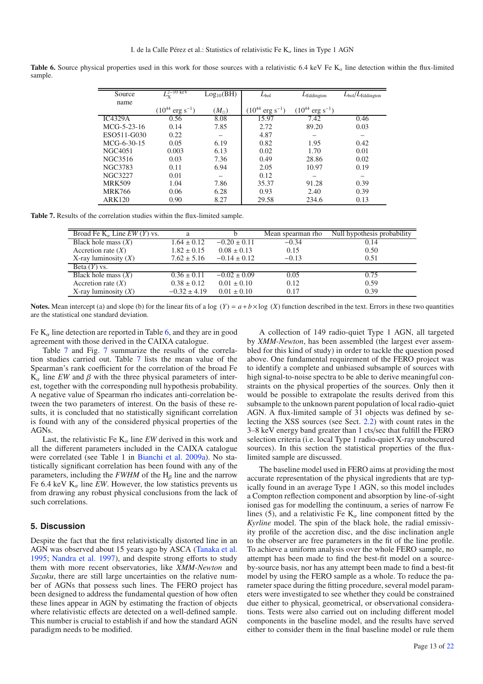**Table 6.** Source physical properties used in this work for those sources with a relativistic 6.4 keV Fe  $K_{\alpha}$  line detection within the flux-limited sample.

| Source         | $L_{\mathrm{X}}^{2-10\,\,\mathrm{keV}}$ | Log <sub>10</sub> (BH) | $L_{bol}$                      | $L_{\rm Eddington}$            | $L_{\text{bol}}/L_{\text{Eddington}}$ |
|----------------|-----------------------------------------|------------------------|--------------------------------|--------------------------------|---------------------------------------|
| name           |                                         |                        |                                |                                |                                       |
|                | $(10^{44} \text{ erg s}^{-1})$          | $(M_{\odot})$          | $(10^{44} \text{ erg s}^{-1})$ | $(10^{44} \text{ erg s}^{-1})$ |                                       |
| IC4329A        | 0.56                                    | 8.08                   | 15.97                          | 7.42                           | 0.46                                  |
| MCG-5-23-16    | 0.14                                    | 7.85                   | 2.72                           | 89.20                          | 0.03                                  |
| ESO511-G030    | 0.22                                    |                        | 4.87                           |                                |                                       |
| MCG-6-30-15    | 0.05                                    | 6.19                   | 0.82                           | 1.95                           | 0.42                                  |
| <b>NGC4051</b> | 0.003                                   | 6.13                   | 0.02                           | 1.70                           | 0.01                                  |
| NGC3516        | 0.03                                    | 7.36                   | 0.49                           | 28.86                          | 0.02                                  |
| NGC3783        | 0.11                                    | 6.94                   | 2.05                           | 10.97                          | 0.19                                  |
| <b>NGC3227</b> | 0.01                                    | —                      | 0.12                           |                                | –                                     |
| <b>MRK509</b>  | 1.04                                    | 7.86                   | 35.37                          | 91.28                          | 0.39                                  |
| <b>MRK766</b>  | 0.06                                    | 6.28                   | 0.93                           | 2.40                           | 0.39                                  |
| <b>ARK120</b>  | 0.90                                    | 8.27                   | 29.58                          | 234.6                          | 0.13                                  |

**Table 7.** Results of the correlation studies within the flux-limited sample.

| Broad Fe $K_{\alpha}$ Line EW (Y) vs. | a                |                  | Mean spearman rho | Null hypothesis probability |
|---------------------------------------|------------------|------------------|-------------------|-----------------------------|
| Black hole mass $(X)$                 | $1.64 \pm 0.12$  | $-0.20 \pm 0.11$ | $-0.34$           | 0.14                        |
| Accretion rate $(X)$                  | $1.82 \pm 0.15$  | $0.08 \pm 0.13$  | 0.15              | 0.50                        |
| X-ray luminosity $(X)$                | $7.62 \pm 5.16$  | $-0.14 \pm 0.12$ | $-0.13$           | 0.51                        |
| Beta $(Y)$ vs.                        |                  |                  |                   |                             |
| Black hole mass $(X)$                 | $0.36 \pm 0.11$  | $-0.02 \pm 0.09$ | 0.05              | 0.75                        |
| Accretion rate $(X)$                  | $0.38 \pm 0.12$  | $0.01 \pm 0.10$  | 0.12              | 0.59                        |
| X-ray luminosity $(X)$                | $-0.32 \pm 4.19$ | $0.01 \pm 0.10$  | 0.17              | 0.39                        |

**Notes.** Mean intercept (a) and slope (b) for the linear fits of a log  $(Y) = a + b \times \log(X)$  function described in the text. Errors in these two quantities are the statistical one standard deviation.

Fe  $K_{\alpha}$  line detection are reported in Table 6, and they are in good agreement with those derived in the CAIXA catalogue.

Table 7 and Fig. 7 summarize the results of the correlation studies carried out. Table 7 lists the mean value of the Spearman's rank coefficient for the correlation of the broad Fe  $\overline{K}_{\alpha}$  line *EW* and  $\beta$  with the three physical parameters of interest, together with the corresponding null hypothesis probability. A negative value of Spearman rho indicates anti-correlation between the two parameters of interest. On the basis of these results, it is concluded that no statistically significant correlation is found with any of the considered physical properties of the AGNs.

Last, the relativistic Fe  $K_{\alpha}$  line *EW* derived in this work and all the different parameters included in the CAIXA catalogue were correlated (see Table 1 in Bianchi et al. 2009a). No statistically significant correlation has been found with any of the parameters, including the  $FWHM$  of the  $H_\beta$  line and the narrow Fe 6.4 keV  $K_{\alpha}$  line *EW*. However, the low statistics prevents us from drawing any robust physical conclusions from the lack of such correlations.

## **5. Discussion**

Despite the fact that the first relativistically distorted line in an AGN was observed about 15 years ago by ASCA (Tanaka et al. 1995; Nandra et al. 1997), and despite strong efforts to study them with more recent observatories, like *XMM-Newton* and *Suzaku*, there are still large uncertainties on the relative number of AGNs that possess such lines. The FERO project has been designed to address the fundamental question of how often these lines appear in AGN by estimating the fraction of objects where relativistic effects are detected on a well-defined sample. This number is crucial to establish if and how the standard AGN paradigm needs to be modified.

A collection of 149 radio-quiet Type 1 AGN, all targeted by *XMM-Newton*, has been assembled (the largest ever assembled for this kind of study) in order to tackle the question posed above. One fundamental requirement of the FERO project was to identify a complete and unbiased subsample of sources with high signal-to-noise spectra to be able to derive meaningful constraints on the physical properties of the sources. Only then it would be possible to extrapolate the results derived from this subsample to the unknown parent population of local radio-quiet AGN. A flux-limited sample of 31 objects was defined by selecting the XSS sources (see Sect. 2.2) with count rates in the 3–8 keV energy band greater than 1 cts/sec that fulfill the FERO selection criteria (i.e. local Type 1 radio-quiet X-ray unobscured sources). In this section the statistical properties of the fluxlimited sample are discussed.

The baseline model used in FERO aims at providing the most accurate representation of the physical ingredients that are typically found in an average Type 1 AGN, so this model includes a Compton reflection component and absorption by line-of-sight ionised gas for modelling the continuum, a series of narrow Fe lines (5), and a relativistic Fe  $K_\alpha$  line component fitted by the *Kyrline* model. The spin of the black hole, the radial emissivity profile of the accretion disc, and the disc inclination angle to the observer are free parameters in the fit of the line profile. To achieve a uniform analysis over the whole FERO sample, no attempt has been made to find the best-fit model on a sourceby-source basis, nor has any attempt been made to find a best-fit model by using the FERO sample as a whole. To reduce the parameter space during the fitting procedure, several model parameters were investigated to see whether they could be constrained due either to physical, geometrical, or observational considerations. Tests were also carried out on including different model components in the baseline model, and the results have served either to consider them in the final baseline model or rule them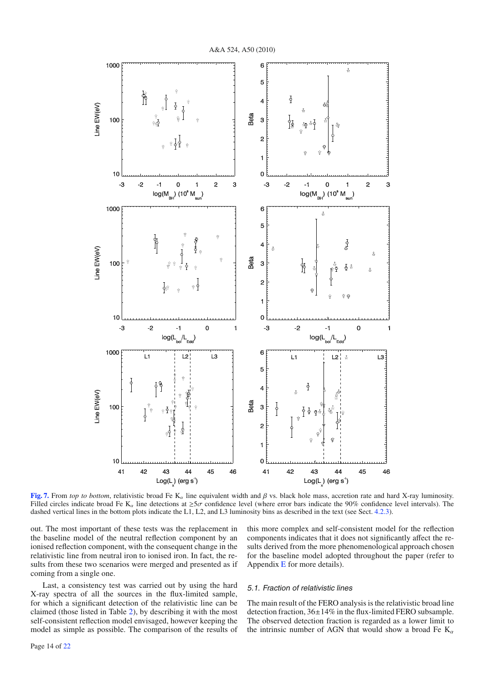

**[Fig. 7.](http://dexter.edpsciences.org/applet.php?DOI=10.1051/0004-6361/200913798&pdf_id=7)** From *top to bottom*, relativistic broad Fe K<sub>α</sub> line equivalent width and  $\beta$  vs. black hole mass, accretion rate and hard X-ray luminosity. Filled circles indicate broad Fe K<sub>α</sub> line detections at  $\geq 5\sigma$  confidence level (where error bars indicate the 90% confidence level intervals). The dashed vertical lines in the bottom plots indicate the L1, L2, and L3 luminosity bins as described in the text (see Sect. 4.2.3).

out. The most important of these tests was the replacement in the baseline model of the neutral reflection component by an ionised reflection component, with the consequent change in the relativistic line from neutral iron to ionised iron. In fact, the results from these two scenarios were merged and presented as if coming from a single one.

Last, a consistency test was carried out by using the hard X-ray spectra of all the sources in the flux-limited sample, for which a significant detection of the relativistic line can be claimed (those listed in Table 2), by describing it with the most self-consistent reflection model envisaged, however keeping the model as simple as possible. The comparison of the results of this more complex and self-consistent model for the reflection components indicates that it does not significantly affect the results derived from the more phenomenological approach chosen for the baseline model adopted throughout the paper (refer to Appendix E for more details).

#### 5.1. Fraction of relativistic lines

The main result of the FERO analysis is the relativistic broad line detection fraction, 36±14% in the flux-limited FERO subsample. The observed detection fraction is regarded as a lower limit to the intrinsic number of AGN that would show a broad Fe  $K_{\alpha}$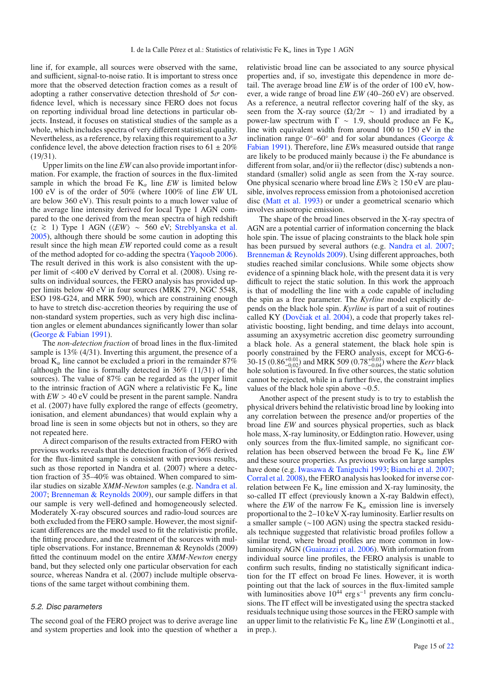line if, for example, all sources were observed with the same, and sufficient, signal-to-noise ratio. It is important to stress once more that the observed detection fraction comes as a result of adopting a rather conservative detection threshold of  $5\sigma$  confidence level, which is necessary since FERO does not focus on reporting individual broad line detections in particular objects. Instead, it focuses on statistical studies of the sample as a whole, which includes spectra of very different statistical quality. Nevertheless, as a reference, by relaxing this requirement to a  $3\sigma$ confidence level, the above detection fraction rises to  $61 \pm 20\%$ (19/31).

Upper limits on the line *EW* can also provide important information. For example, the fraction of sources in the flux-limited sample in which the broad Fe  $K_{\alpha}$  line *EW* is limited below 100 eV is of the order of 50% (where 100% of line *EW* UL are below 360 eV). This result points to a much lower value of the average line intensity derived for local Type 1 AGN compared to the one derived from the mean spectra of high redshift  $(z \ge 1)$  Type 1 AGN ( $\langle EW \rangle \sim 560$  eV; Streblyanska et al. 2005), although there should be some caution in adopting this result since the high mean *EW* reported could come as a result of the method adopted for co-adding the spectra (Yaqoob 2006). The result derived in this work is also consistent with the upper limit of <400 eV derived by Corral et al. (2008). Using results on individual sources, the FERO analysis has provided upper limits below 40 eV in four sources (MRK 279, NGC 5548, ESO 198-G24, and MRK 590), which are constraining enough to have to stretch disc-accretion theories by requiring the use of non-standard system properties, such as very high disc inclination angles or element abundances significantly lower than solar (George & Fabian 1991).

The *non-detection fraction* of broad lines in the flux-limited sample is 13% (4/31). Inverting this argument, the presence of a broad  $K_{\alpha}$  line cannot be excluded a priori in the remainder 87% (although the line is formally detected in 36% (11/31) of the sources). The value of 87% can be regarded as the upper limit to the intrinsic fraction of AGN where a relativistic Fe  $K_{\alpha}$  line with  $EW > 40$  eV could be present in the parent sample. Nandra et al. (2007) have fully explored the range of effects (geometry, ionisation, and element abundances) that would explain why a broad line is seen in some objects but not in others, so they are not repeated here.

A direct comparison of the results extracted from FERO with previous works reveals that the detection fraction of 36% derived for the flux-limited sample is consistent with previous results, such as those reported in Nandra et al. (2007) where a detection fraction of 35–40% was obtained. When compared to similar studies on sizable *XMM-Newton* samples (e.g. Nandra et al. 2007; Brenneman & Reynolds 2009), our sample differs in that our sample is very well-defined and homogeneously selected. Moderately X-ray obscured sources and radio-loud sources are both excluded from the FERO sample. However, the most significant differences are the model used to fit the relativistic profile, the fitting procedure, and the treatment of the sources with multiple observations. For instance, Brenneman & Reynolds (2009) fitted the continuum model on the entire *XMM-Newton* energy band, but they selected only one particular observation for each source, whereas Nandra et al. (2007) include multiple observations of the same target without combining them.

#### 5.2. Disc parameters

The second goal of the FERO project was to derive average line and system properties and look into the question of whether a relativistic broad line can be associated to any source physical properties and, if so, investigate this dependence in more detail. The average broad line *EW* is of the order of 100 eV, however, a wide range of broad line *EW* (40–260 eV) are observed. As a reference, a neutral reflector covering half of the sky, as seen from the X-ray source ( $\Omega/2\pi \sim 1$ ) and irradiated by a power-law spectrum with  $\Gamma \sim 1.9$ , should produce an Fe K<sub>α</sub> line with equivalent width from around 100 to 150 eV in the inclination range  $0^{\circ}$ –60° and for solar abundances (George & Fabian 1991). Therefore, line *EW*s measured outside that range are likely to be produced mainly because i) the Fe abundance is different from solar, and/or ii) the reflector (disc) subtends a nonstandard (smaller) solid angle as seen from the X-ray source. One physical scenario where broad line *EW*<sup>s</sup> <sup>&</sup>gt;<sup>∼</sup> 150 eV are plausible, involves reprocess emission from a photoionised accretion disc (Matt et al. 1993) or under a geometrical scenario which involves anisotropic emission.

The shape of the broad lines observed in the X-ray spectra of AGN are a potential carrier of information concerning the black hole spin. The issue of placing constraints to the black hole spin has been pursued by several authors (e.g. Nandra et al. 2007; Brenneman & Reynolds 2009). Using different approaches, both studies reached similar conclusions. While some objects show evidence of a spinning black hole, with the present data it is very difficult to reject the static solution. In this work the approach is that of modelling the line with a code capable of including the spin as a free parameter. The *Kyrline* model explicitly depends on the black hole spin. *Kyrline* is part of a suit of routines called KY (Dovčiak et al. 2004), a code that properly takes relativistic boosting, light bending, and time delays into account, assuming an axysymetric accretion disc geometry surrounding a black hole. As a general statement, the black hole spin is poorly constrained by the FERO analysis, except for MCG-6- 30-15 (0.86<sup>+0.01</sup>) and MRK 509 (0.78<sup>+0.03</sup>) where the *Kerr* black hole solution is favoured. In five other sources, the static solution cannot be rejected, while in a further five, the constraint implies values of the black hole spin above ∼0.5.

Another aspect of the present study is to try to establish the physical drivers behind the relativistic broad line by looking into any correlation between the presence and/or properties of the broad line *EW* and sources physical properties, such as black hole mass, X-ray luminosity, or Eddington ratio. However, using only sources from the flux-limited sample, no significant correlation has been observed between the broad Fe  $K_{\alpha}$  line *EW* and these source properties. As previous works on large samples have done (e.g. Iwasawa & Taniguchi 1993; Bianchi et al. 2007; Corral et al. 2008), the FERO analysis has looked for inverse correlation between Fe  $K_{\alpha}$  line emission and X-ray luminosity, the so-called IT effect (previously known a X-ray Baldwin effect), where the *EW* of the narrow Fe  $K_{\alpha}$  emission line is inversely proportional to the 2–10 keV X-ray luminosity. Earlier results on a smaller sample (∼100 AGN) using the spectra stacked residuals technique suggested that relativistic broad profiles follow a similar trend, where broad profiles are more common in lowluminosity AGN (Guainazzi et al. 2006). With information from individual source line profiles, the FERO analysis is unable to confirm such results, finding no statistically significant indication for the IT effect on broad Fe lines. However, it is worth pointing out that the lack of sources in the flux-limited sample with luminosities above  $10^{44}$  erg s<sup>-1</sup> prevents any firm conclusions. The IT effect will be investigated using the spectra stacked residuals technique using those sources in the FERO sample with an upper limit to the relativistic Fe  $K_{\alpha}$  line *EW* (Longinotti et al., in prep.).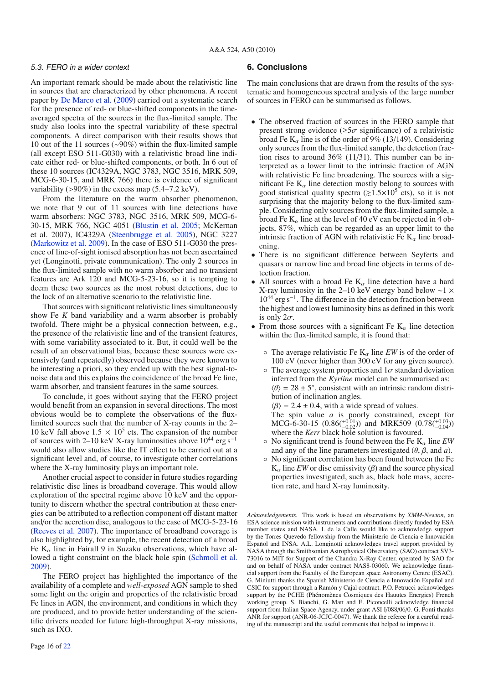## 5.3. FERO in a wider context

An important remark should be made about the relativistic line in sources that are characterized by other phenomena. A recent paper by De Marco et al. (2009) carried out a systematic search for the presence of red- or blue-shifted components in the timeaveraged spectra of the sources in the flux-limited sample. The study also looks into the spectral variability of these spectral components. A direct comparison with their results shows that 10 out of the 11 sources (∼90%) within the flux-limited sample (all except ESO 511-G030) with a relativistic broad line indicate either red- or blue-shifted components, or both. In 6 out of these 10 sources (IC4329A, NGC 3783, NGC 3516, MRK 509, MCG-6-30-15, and MRK 766) there is evidence of significant variability ( $>90\%$ ) in the excess map (5.4–7.2 keV).

From the literature on the warm absorber phenomenon, we note that 9 out of 11 sources with line detections have warm absorbers: NGC 3783, NGC 3516, MRK 509, MCG-6- 30-15, MRK 766, NGC 4051 (Blustin et al. 2005; McKernan et al. 2007), IC4329A (Steenbrugge et al. 2005), NGC 3227 (Markowitz et al. 2009). In the case of ESO 511-G030 the presence of line-of-sight ionised absorption has not been ascertained yet (Longinotti, private communication). The only 2 sources in the flux-limited sample with no warm absorber and no transient features are Ark 120 and MCG-5-23-16, so it is tempting to deem these two sources as the most robust detections, due to the lack of an alternative scenario to the relativistic line.

That sources with significant relativistic lines simultaneously show Fe *K* band variability and a warm absorber is probably twofold. There might be a physical connection between, e.g., the presence of the relativistic line and of the transient features, with some variability associated to it. But, it could well be the result of an observational bias, because these sources were extensively (and repeatedly) observed because they were known to be interesting a priori, so they ended up with the best signal-tonoise data and this explains the coincidence of the broad Fe line, warm absorber, and transient features in the same sources.

To conclude, it goes without saying that the FERO project would benefit from an expansion in several directions. The most obvious would be to complete the observations of the fluxlimited sources such that the number of X-ray counts in the 2– 10 keV fall above  $1.5 \times 10^5$  cts. The expansion of the number of sources with 2–10 keV X-ray luminosities above  $10^{44}$  erg s<sup>-1</sup> would also allow studies like the IT effect to be carried out at a significant level and, of course, to investigate other correlations where the X-ray luminosity plays an important role.

Another crucial aspect to consider in future studies regarding relativistic disc lines is broadband coverage. This would allow exploration of the spectral regime above 10 keV and the opportunity to discern whether the spectral contribution at these energies can be attributed to a reflection component off distant matter and/or the accretion disc, analogous to the case of MCG-5-23-16 (Reeves et al. 2007). The importance of broadband coverage is also highlighted by, for example, the recent detection of a broad Fe  $K_{\alpha}$  line in Fairall 9 in Suzaku observations, which have allowed a tight constraint on the black hole spin (Schmoll et al. 2009).

The FERO project has highlighted the importance of the availability of a complete and *well-exposed* AGN sample to shed some light on the origin and properties of the relativistic broad Fe lines in AGN, the environment, and conditions in which they are produced, and to provide better understanding of the scientific drivers needed for future high-throughput X-ray missions, such as IXO.

# **6. Conclusions**

The main conclusions that are drawn from the results of the systematic and homogeneous spectral analysis of the large number of sources in FERO can be summarised as follows.

- The observed fraction of sources in the FERO sample that present strong evidence ( $\geq 5\sigma$  significance) of a relativistic broad Fe  $K_{\alpha}$  line is of the order of 9% (13/149). Considering only sources from the flux-limited sample, the detection fraction rises to around 36% (11/31). This number can be interpreted as a lower limit to the intrinsic fraction of AGN with relativistic Fe line broadening. The sources with a significant Fe  $K_{\alpha}$  line detection mostly belong to sources with good statistical quality spectra ( $\ge 1.5 \times 10^5$  cts), so it is not surprising that the majority belong to the flux-limited sample. Considering only sources from the flux-limited sample, a broad Fe  $K_{\alpha}$  line at the level of 40 eV can be rejected in 4 objects, 87%, which can be regarded as an upper limit to the intrinsic fraction of AGN with relativistic Fe  $K_{\alpha}$  line broadening.
- There is no significant difference between Seyferts and quasars or narrow line and broad line objects in terms of detection fraction.
- All sources with a broad Fe  $K_{\alpha}$  line detection have a hard X-ray luminosity in the 2–10 keV energy band below ∼1 × 10<sup>44</sup> erg s−1. The difference in the detection fraction between the highest and lowest luminosity bins as defined in this work is only  $2\sigma$ .
- From those sources with a significant Fe  $K_{\alpha}$  line detection within the flux-limited sample, it is found that:
	- $\circ$  The average relativistic Fe K<sub>a</sub> line *EW* is of the order of 100 eV (never higher than 300 eV for any given source).
	- $\circ$  The average system properties and  $1\sigma$  standard deviation inferred from the *Kyrline* model can be summarised as:  $\langle \theta \rangle = 28 \pm 5^{\circ}$ , consistent with an intrinsic random distribution of inclination angles.
		- $\langle \beta \rangle = 2.4 \pm 0.4$ , with a wide spread of values.

The spin value *a* is poorly constrained, except for MCG-6-30-15  $(0.86(^{+0.01}_{-0.02}))$  and MRK509  $(0.78(^{+0.03}_{-0.04}))$ where the *Kerr* black hole solution is favoured.

- $\circ$  No significant trend is found between the Fe K<sub> $\alpha$ </sub> line *EW* and any of the line parameters investigated (θ, β, and *a*).
- No significant correlation has been found between the Fe  $K_{\alpha}$  line *EW* or disc emissivity ( $\beta$ ) and the source physical properties investigated, such as, black hole mass, accretion rate, and hard X-ray luminosity.

*Acknowledgements.* This work is based on observations by *XMM-Newton*, an ESA science mission with instruments and contributions directly funded by ESA member states and NASA. I. de la Calle would like to acknowledge support by the Torres Quevedo fellowship from the Ministerio de Ciencia e Innovación Español and INSA. A.L. Longinotti acknowledges travel support provided by NASA through the Smithsonian Astrophysical Observatory (SAO) contract SV3- 73016 to MIT for Support of the Chandra X-Ray Center, operated by SAO for and on behalf of NASA under contract NAS8-03060. We acknowledge financial support from the Faculty of the European space Astronomy Centre (ESAC). G. Miniutti thanks the Spanish Ministerio de Ciencia e Innovación Español and CSIC for support through a Ramón y Cajal contract. P.O. Petrucci acknowledges support by the PCHE (Phénomènes Cosmiques des Hauutes Energies) French working group. S. Bianchi, G. Matt and E. Piconcelli acknowledge financial support from Italian Space Agency, under grant ASI I/088/06/0. G. Ponti thanks ANR for support (ANR-06-JCJC-0047). We thank the referee for a careful reading of the manuscript and the useful comments that helped to improve it.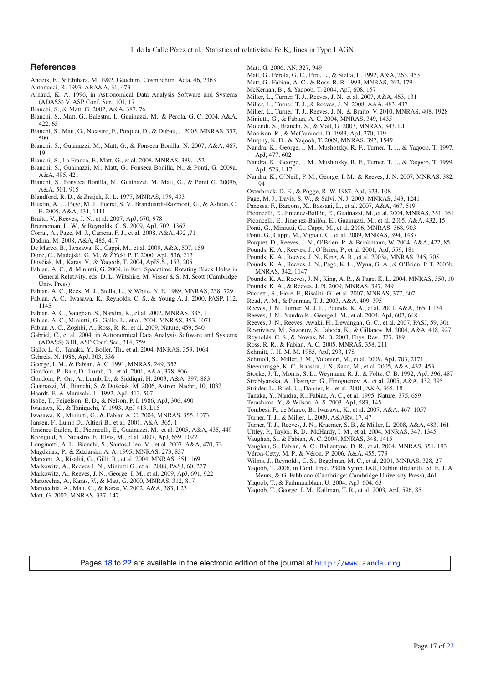# **References**

- Anders, E., & Ebihara, M. 1982, Geochim. Cosmochim. Acta, 46, 2363
- Antonucci, R. 1993, ARA&A, 31, 473
- Arnaud, K. A. 1996, in Astronomical Data Analysis Software and Systems (ADASS) V, ASP Conf. Ser., 101, 17
- Bianchi, S., & Matt, G. 2002, A&A, 387, 76
- Bianchi, S., Matt, G., Balestra, I., Guainazzi, M., & Perola, G. C. 2004, A&A, 422, 65
- Bianchi, S., Matt, G., Nicastro, F., Porquet, D., & Dubau, J. 2005, MNRAS, 357, 599
- Bianchi, S., Guainazzi, M., Matt, G., & Fonseca Bonilla, N. 2007, A&A, 467, 19
- Bianchi, S., La Franca, F., Matt, G., et al. 2008, MNRAS, 389, L52
- Bianchi, S., Guainazzi, M., Matt, G., Fonseca Bonilla, N., & Ponti, G. 2009a, A&A, 495, 421
- Bianchi, S., Fonseca Bonilla, N., Guainazzi, M, Matt, G., & Ponti G. 2009b, A&A, 501, 915
- Blandford, R. D., & Znajek, R. L. 1977, MNRAS, 179, 433
- Blustin, A. J., Page, M. J., Fuerst, S. V., Branduardi-Raymont, G., & Ashton, C. E. 2005, A&A, 431, 1111
- Braito, V., Reeves, J. N., et al. 2007, ApJ, 670, 978
- Brenneman, L. W., & Reynolds, C. S. 2009, ApJ, 702, 1367
- Corral, A., Page, M. J., Carrera, F. J., et al. 2008, A&A, 492 ,71
- Dadina, M. 2008, A&A, 485, 417
- De Marco, B., Iwasawa, K., Cappi, M., et al. 2009, A&A, 507, 159
- Done, C., Madejski, G. M., & ŽYcki P. T. 2000, ApJ, 536, 213
- Dovčiak, M., Karas, V., & Yaqoob, T. 2004, ApJS.S., 153, 205
- Fabian, A. C., & Miniutti, G. 2009, in Kerr Spacetime: Rotating Black Holes in General Relativity, eds. D. L. Wiltshire, M. Visser & S. M. Scott (Cambridge Univ. Press)
- Fabian, A. C., Rees, M. J., Stella, L., & White, N. E. 1989, MNRAS, 238, 729
- Fabian, A. C., Iwasawa, K., Reynolds, C. S., & Young A. J. 2000, PASP, 112, 1145
- Fabian, A. C., Vaughan, S., Nandra, K., et al. 2002, MNRAS, 335, 1
- Fabian, A. C., Miniutti, G., Gallo, L., et al. 2004, MNRAS, 353, 1071
- Fabian A. C., Zoghbi, A., Ross, R. R., et al. 2009, Nature, 459, 540
- Gabriel, C., et al. 2004, in Astronomical Data Analysis Software and Systems (ADASS) XIII, ASP Conf. Ser., 314, 759
- Gallo, L. C., Tanaka, Y., Boller, Th., et al. 2004, MNRAS, 353, 1064
- Gehrels, N. 1986, ApJ, 303, 336
- George, I. M., & Fabian, A. C. 1991, MNRAS, 249, 352
- Gondoin, P., Barr, D., Lumb, D., et al. 2001, A&A, 378, 806
- Gondoin, P., Orr, A., Lumb, D., & Siddiqui, H. 2003, A&A, 397, 883
- Guainazzi, M., Bianchi, S. & Dovciak, M. 2006, Astron. Nachr., 10, 1032
- Haardt, F., & Maraschi, L. 1992, ApJ, 413, 507
- Isobe, T., Feigelson, E. D., & Nelson, P. I. 1986, ApJ, 306, 490
- Iwasawa, K., & Taniguchi, Y. 1993, ApJ 413, L15
- Iwasawa, K., Miniutti, G., & Fabian A. C. 2004, MNRAS, 355, 1073
- Jansen, F., Lumb D., Altieri B., et al. 2001, A&A, 365, 1
- Jiménez-Bailón, E., Piconcelli, E., Guainazzi, M., et al. 2005, A&A, 435, 449
- Krongold, Y., Nicastro, F., Elvis, M., et al. 2007, ApJ, 659, 1022
- Longinotti, A. L., Bianchi, S., Santos-Lleo, M., et al. 2007, A&A, 470, 73
- Magdziarz, P., & Zdziarski, A. A. 1995, MNRAS, 273, 837
- Marconi, A., Risaliti, G., Gilli, R., et al. 2004, MNRAS, 351, 169
- Markowitz, A., Reeves J. N., Miniutti G., et al. 2008, PASJ, 60, 277
- Markowitz, A., Reeves, J. N., George, I. M., et al. 2009, ApJ, 691, 922
- Martocchia, A., Karas, V., & Matt, G. 2000, MNRAS, 312, 817
- Martocchia, A., Matt, G., & Karas, V. 2002, A&A, 383, L23
- Matt, G. 2002, MNRAS, 337, 147
- Matt, G. 2006, AN, 327, 949
- Matt, G., Perola, G. C., Piro, L., & Stella, L. 1992, A&A, 263, 453
- Matt, G., Fabian, A. C., & Ross, R. R. 1993, MNRAS, 262, 179
- McKernan, B., & Yaqoob, T. 2004, ApJ, 608, 157
- Miller, L., Turner, T. J., Reeves, J. N., et al. 2007, A&A, 463, 131
- Miller, L., Turner, T. J., & Reeves, J. N. 2008, A&A, 483, 437
- Miller, L., Turner, T. J., Reeves, J. N., & Braito, V. 2010, MNRAS, 408, 1928 Miniutti, G., & Fabian, A. C. 2004, MNRAS, 349, 1435
- Molendi, S., Bianchi, S., & Matt, G. 2003, MNRAS, 343, L1
- Morrison, R., & McCammon, D. 1983, ApJ, 270, 119
- Murphy, K. D., & Yaqoob, T. 2009, MNRAS, 397, 1549
- Nandra, K., George, I. M., Mushotzky, R. F., Turner, T. J., & Yaqoob, T. 1997,
- ApJ, 477, 602 Nandra, K., George, I. M., Mushotzky, R. F., Turner, T. J., & Yaqoob, T. 1999,
- ApJ, 523, L17
- Nandra, K., O'Neill, P. M., George, I. M., & Reeves, J. N. 2007, MNRAS, 382, 194
- Osterbrock, D. E., & Pogge, R. W. 1987, ApJ, 323, 108
- Page, M. J., Davis, S. W., & Salvi, N. J. 2003, MNRAS, 343, 1241
- Panessa, F., Barcons, X., Bassani, L., et al. 2007, A&A, 467, 519
- Piconcelli, E., Jimenez-Bailón, E., Guainazzi, M., et al. 2004, MNRAS, 351, 161
- Piconcelli, E., Jimenez-Bailón, E., Guainazzi, M., et al. 2005, A&A, 432, 15
- Ponti, G., Miniutti, G., Cappi, M., et al. 2006, MNRAS, 368, 903
- Ponti, G., Cappi, M., Vignali, C., et al. 2009, MNRAS, 394, 1487
- Porquet, D., Reeves, J. N., O'Brien, P., & Brinkmann, W. 2004, A&A, 422, 85
- Pounds, K. A., Reeves, J., O'Brien, P., et al. 2001, ApJ, 559, 181
- Pounds, K. A., Reeves, J. N., King, A. R., et al. 2003a, MNRAS, 345, 705
- Pounds, K. A., Reeves, J. N., Page, K. L., Wynn, G. A., & O'Brien, P. T. 2003b,
- MNRAS, 342, 1147
- Pounds, K. A., Reeves, J. N., King, A. R., & Page, K. L. 2004, MNRAS, 350, 10 Pounds, K. A., & Reeves, J. N. 2009, MNRAS, 397, 249
- Puccetti, S., Fiore, F., Risaliti, G., et al. 2007, MNRAS, 377, 607
- Read, A. M., & Ponman, T. J. 2003, A&A, 409, 395
- Reeves, J. N., Turner, M. J. L., Pounds, K. A., et al. 2001, A&A, 365, L134
- Reeves, J. N., Nandra K., George I. M., et al. 2004, ApJ, 602, 648
- Reeves, J. N., Reeves, Awaki, H., Dewangan, G. C., et al. 2007, PASJ, 59, 301
- Revnivtsev, M., Sazonov, S., Jahoda, K., & Gilfanov, M. 2004, A&A, 418, 927
- Reynolds, C. S., & Nowak, M. B. 2003, Phys. Rev., 377, 389
- Ross, R. R., & Fabian, A. C. 2005, MNRAS, 358, 211
- Schmitt, J. H. M. M. 1985, ApJ, 293, 178
- Schmoll, S., Miller, J. M., Volonteri, M., et al. 2009, ApJ, 703, 2171
- Steenbrugge, K. C., Kaastra, J. S., Sako, M., et al. 2005, A&A, 432, 453
- Stocke, J. T., Morris, S. L., Weymann, R. J., & Foltz, C. B. 1992, ApJ, 396, 487
- Streblyanska, A., Hasinger, G., Finoguenov, A., et al. 2005, A&A, 432, 395
- Strüder, L., Briel, U., Danner, K., et al. 2001, A&A, 365, 18
- Tanaka, Y., Nandra, K., Fabian, A. C., et al. 1995, Nature, 375, 659
- Terashima, Y., & Wilson, A. S. 2003, ApJ, 583, 145
- Tombesi, F., de Marco, B., Iwasawa, K., et al. 2007, A&A, 467, 1057
- Turner, T. J., & Miller, L. 2009, A&ARv, 17, 47
- Turner, T. J., Reeves, J. N., Kraemer, S. B., & Miller, L. 2008, A&A, 483, 161
- Uttley, P., Taylor, R. D., McHardy, I. M., et al. 2004, MNRAS, 347, 1345
- Vaughan, S., & Fabian, A. C. 2004, MNRAS, 348, 1415
- Vaughan, S., Fabian, A. C., Ballantyne, D. R., et al. 2004, MNRAS, 351, 193

Yaqoob, T. 2006, in Conf. Proc. 230th Symp. IAU, Dublin (Ireland), ed. E. J. A. Meurs, & G. Fabbiano (Cambridge: Cambridge University Press), 461

Page 17 of 22

Véron-Cetty, M. P., & Véron, P. 2006, A&A, 455, 773

Yaqoob, T., & Padmanabhan, U. 2004, ApJ, 604, 63

Pages 18 to 22 are available in the electronic edition of the journal at <http://www.aanda.org>

Wilms, J., Reynolds, C. S., Begelman, M. C., et al. 2001, MNRAS, 328, 27

Yaqoob, T., George, I. M., Kallman, T. R., et al. 2003, ApJ, 596, 85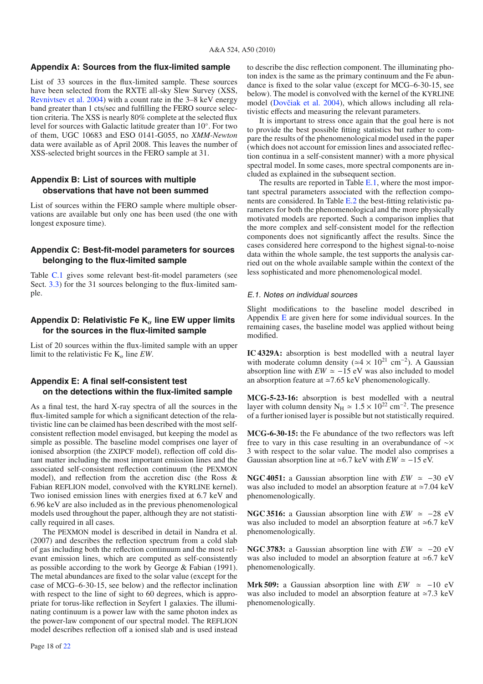# **Appendix A: Sources from the flux-limited sample**

List of 33 sources in the flux-limited sample. These sources have been selected from the RXTE all-sky Slew Survey (XSS, Revnivtsev et al. 2004) with a count rate in the 3–8 keV energy band greater than 1 cts/sec and fulfilling the FERO source selection criteria. The XSS is nearly 80% complete at the selected flux level for sources with Galactic latitude greater than 10◦. For two of them, UGC 10683 and ESO 0141-G055, no *XMM-Newton* data were available as of April 2008. This leaves the number of XSS-selected bright sources in the FERO sample at 31.

# **Appendix B: List of sources with multiple observations that have not been summed**

List of sources within the FERO sample where multiple observations are available but only one has been used (the one with longest exposure time).

# **Appendix C: Best-fit-model parameters for sources belonging to the flux-limited sample**

Table C.1 gives some relevant best-fit-model parameters (see Sect. 3.3) for the 31 sources belonging to the flux-limited sample.

# **Appendix D: Relativistic Fe K<sub>α</sub> line EW upper limits for the sources in the flux-limited sample**

List of 20 sources within the flux-limited sample with an upper limit to the relativistic Fe  $K_{\alpha}$  line *EW*.

# **Appendix E: A final self-consistent test on the detections within the flux-limited sample**

As a final test, the hard X-ray spectra of all the sources in the flux-limited sample for which a significant detection of the relativistic line can be claimed has been described with the most selfconsistent reflection model envisaged, but keeping the model as simple as possible. The baseline model comprises one layer of ionised absorption (the ZXIPCF model), reflection off cold distant matter including the most important emission lines and the associated self-consistent reflection continuum (the PEXMON model), and reflection from the accretion disc (the Ross & Fabian REFLION model, convolved with the KYRLINE kernel). Two ionised emission lines with energies fixed at 6.7 keV and 6.96 keV are also included as in the previous phenomenological models used throughout the paper, although they are not statistically required in all cases.

The PEXMON model is described in detail in Nandra et al. (2007) and describes the reflection spectrum from a cold slab of gas including both the reflection continuum and the most relevant emission lines, which are computed as self-consistently as possible according to the work by George & Fabian (1991). The metal abundances are fixed to the solar value (except for the case of MCG–6-30-15, see below) and the reflector inclination with respect to the line of sight to 60 degrees, which is appropriate for torus-like reflection in Seyfert 1 galaxies. The illuminating continuum is a power law with the same photon index as the power-law component of our spectral model. The REFLION model describes reflection off a ionised slab and is used instead to describe the disc reflection component. The illuminating photon index is the same as the primary continuum and the Fe abundance is fixed to the solar value (except for MCG–6-30-15, see below). The model is convolved with the kernel of the KYRLINE model (Dovčiak et al. 2004), which allows including all relativistic effects and measuring the relevant parameters.

It is important to stress once again that the goal here is not to provide the best possible fitting statistics but rather to compare the results of the phenomenological model used in the paper (which does not account for emission lines and associated reflection continua in a self-consistent manner) with a more physical spectral model. In some cases, more spectral components are included as explained in the subsequent section.

The results are reported in Table E.1, where the most important spectral parameters associated with the reflection components are considered. In Table E.2 the best-fitting relativistic parameters for both the phenomenological and the more physically motivated models are reported. Such a comparison implies that the more complex and self-consistent model for the reflection components does not significantly affect the results. Since the cases considered here correspond to the highest signal-to-noise data within the whole sample, the test supports the analysis carried out on the whole available sample within the context of the less sophisticated and more phenomenological model.

# E.1. Notes on individual sources

Slight modifications to the baseline model described in Appendix  $E$  are given here for some individual sources. In the remaining cases, the baseline model was applied without being modified.

**IC 4329A:** absorption is best modelled with a neutral layer with moderate column density ( $\simeq$ 4 × 10<sup>21</sup> cm<sup>-2</sup>). A Gaussian absorption line with  $EW \simeq -15$  eV was also included to model an absorption feature at  $\approx$  7.65 keV phenomenologically.

**MCG-5-23-16:** absorption is best modelled with a neutral layer with column density N<sub>H</sub>  $\simeq 1.5 \times 10^{22}$  cm<sup>-2</sup>. The presence of a further ionised layer is possible but not statistically required.

**MCG-6-30-15:** the Fe abundance of the two reflectors was left free to vary in this case resulting in an overabundance of ∼× 3 with respect to the solar value. The model also comprises a Gaussian absorption line at  $\approx 6.7$  keV with  $EW \approx -15$  eV.

**NGC 4051:** a Gaussian absorption line with  $EW \approx -30$  eV was also included to model an absorption feature at  $\simeq$  7.04 keV phenomenologically.

**NGC 3516:** a Gaussian absorption line with  $EW \approx -28$  eV was also included to model an absorption feature at  $\approx 6.7 \text{ keV}$ phenomenologically.

**NGC 3783:** a Gaussian absorption line with  $EW \approx -20$  eV was also included to model an absorption feature at  $\approx 6.7 \text{ keV}$ phenomenologically.

**Mrk 509:** a Gaussian absorption line with  $EW \approx -10$  eV was also included to model an absorption feature at  $\approx$ 7.3 keV phenomenologically.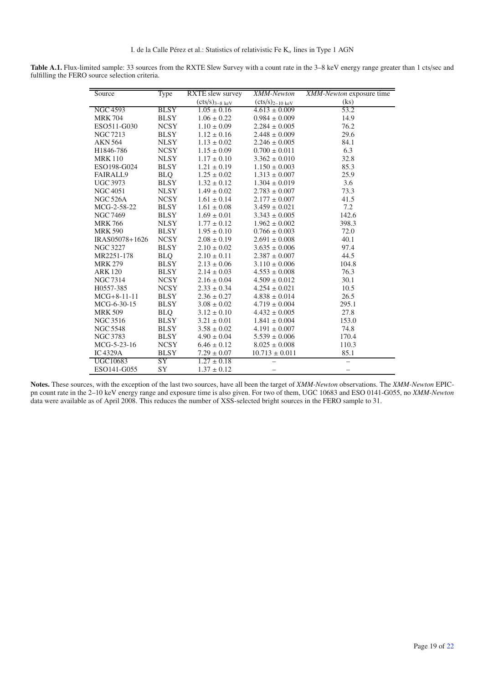Table A.1. Flux-limited sample: 33 sources from the RXTE Slew Survey with a count rate in the 3–8 keV energy range greater than 1 cts/sec and fulfilling the FERO source selection criteria.

| Source          | Type        | <b>RXTE</b> slew survey | XMM-Newton                   | XMM-Newton exposure time |
|-----------------|-------------|-------------------------|------------------------------|--------------------------|
|                 |             | $(cts/s)3-8 keV$        | $(cts/s)_{2-10 \text{ keV}}$ | (ks)                     |
| <b>NGC 4593</b> | <b>BLSY</b> | $1.05 \pm 0.16$         | $\sqrt{4.613} \pm 0.009$     | 53.2                     |
| <b>MRK 704</b>  | <b>BLSY</b> | $1.06 \pm 0.22$         | $0.984 \pm 0.009$            | 14.9                     |
| ESO511-G030     | <b>NCSY</b> | $1.10 \pm 0.09$         | $2.284 \pm 0.005$            | 76.2                     |
| NGC 7213        | <b>BLSY</b> | $1.12 \pm 0.16$         | $2.448 \pm 0.009$            | 29.6                     |
| <b>AKN 564</b>  | <b>NLSY</b> | $1.13 \pm 0.02$         | $2.246 \pm 0.005$            | 84.1                     |
| H1846-786       | <b>NCSY</b> | $1.15 \pm 0.09$         | $0.700 \pm 0.011$            | 6.3                      |
| <b>MRK110</b>   | <b>NLSY</b> | $1.17 \pm 0.10$         | $3.362 \pm 0.010$            | 32.8                     |
| ESO198-G024     | <b>BLSY</b> | $1.21 \pm 0.19$         | $1.150 \pm 0.003$            | 85.3                     |
| <b>FAIRALL9</b> | <b>BLQ</b>  | $1.25 \pm 0.02$         | $1.313 \pm 0.007$            | 25.9                     |
| <b>UGC 3973</b> | <b>BLSY</b> | $1.32 \pm 0.12$         | $1.304 \pm 0.019$            | 3.6                      |
| <b>NGC 4051</b> | <b>NLSY</b> | $1.49 \pm 0.02$         | $2.783\pm0.007$              | 73.3                     |
| <b>NGC 526A</b> | <b>NCSY</b> | $1.61 \pm 0.14$         | $2.177 \pm 0.007$            | 41.5                     |
| MCG-2-58-22     | <b>BLSY</b> | $1.61 \pm 0.08$         | $3.459 \pm 0.021$            | 7.2                      |
| <b>NGC 7469</b> | <b>BLSY</b> | $1.69 \pm 0.01$         | $3.343 \pm 0.005$            | 142.6                    |
| <b>MRK 766</b>  | <b>NLSY</b> | $1.77 \pm 0.12$         | $1.962 \pm 0.002$            | 398.3                    |
| <b>MRK 590</b>  | <b>BLSY</b> | $1.95 \pm 0.10$         | $0.766 \pm 0.003$            | 72.0                     |
| IRAS05078+1626  | <b>NCSY</b> | $2.08 \pm 0.19$         | $2.691 \pm 0.008$            | 40.1                     |
| <b>NGC 3227</b> | <b>BLSY</b> | $2.10 \pm 0.02$         | $3.635 \pm 0.006$            | 97.4                     |
| MR2251-178      | <b>BLQ</b>  | $2.10 \pm 0.11$         | $2.387 \pm 0.007$            | 44.5                     |
| <b>MRK 279</b>  | <b>BLSY</b> | $2.13 \pm 0.06$         | $3.110 \pm 0.006$            | 104.8                    |
| <b>ARK 120</b>  | <b>BLSY</b> | $2.14 \pm 0.03$         | $4.553 \pm 0.008$            | 76.3                     |
| <b>NGC 7314</b> | <b>NCSY</b> | $2.16 \pm 0.04$         | $4.509 \pm 0.012$            | 30.1                     |
| H0557-385       | <b>NCSY</b> | $2.33 \pm 0.34$         | $4.254 \pm 0.021$            | 10.5                     |
| $MCG+8-11-11$   | <b>BLSY</b> | $2.36 \pm 0.27$         | $4.838 \pm 0.014$            | 26.5                     |
| MCG-6-30-15     | <b>BLSY</b> | $3.08 \pm 0.02$         | $4.719 \pm 0.004$            | 295.1                    |
| <b>MRK 509</b>  | <b>BLQ</b>  | $3.12 \pm 0.10$         | $4.432 \pm 0.005$            | 27.8                     |
| <b>NGC 3516</b> | <b>BLSY</b> | $3.21 \pm 0.01$         | $1.841 \pm 0.004$            | 153.0                    |
| <b>NGC 5548</b> | <b>BLSY</b> | $3.58 \pm 0.02$         | $4.191 \pm 0.007$            | 74.8                     |
| <b>NGC 3783</b> | <b>BLSY</b> | $4.90 \pm 0.04$         | $5.539 \pm 0.006$            | 170.4                    |
| MCG-5-23-16     | <b>NCSY</b> | $6.46 \pm 0.12$         | $8.025 \pm 0.008$            | 110.3                    |
| $IC$ 4329A      | <b>BLSY</b> | $7.29 \pm 0.07$         | $10.713 \pm 0.011$           | 85.1                     |
| <b>UGC10683</b> | SY          | $1.27 \pm 0.18$         |                              | $\equiv$                 |
| ESO141-G055     | <b>SY</b>   | $1.37 \pm 0.12$         |                              |                          |

**Notes.** These sources, with the exception of the last two sources, have all been the target of *XMM-Newton* observations. The *XMM-Newton* EPICpn count rate in the 2–10 keV energy range and exposure time is also given. For two of them, UGC 10683 and ESO 0141-G055, no *XMM-Newton* data were available as of April 2008. This reduces the number of XSS-selected bright sources in the FERO sample to 31.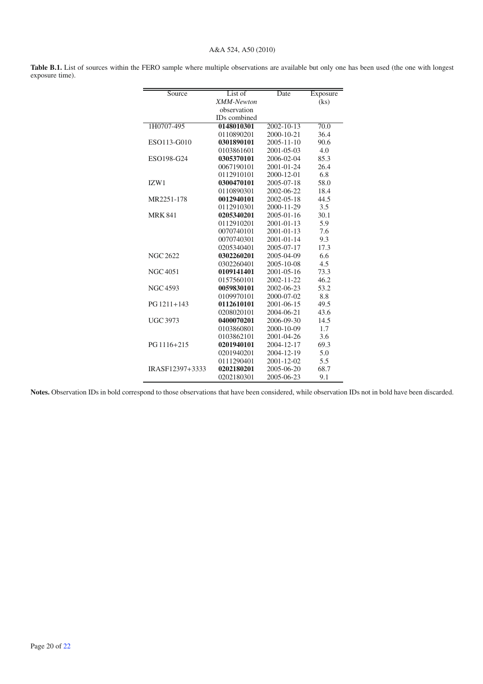## A&A 524, A50 (2010)

Table B.1. List of sources within the FERO sample where multiple observations are available but only one has been used (the one with longest exposure time).

| Source          | List of             | Date             | Exposure                 |
|-----------------|---------------------|------------------|--------------------------|
|                 | <b>XMM-Newton</b>   |                  | $\overline{(\text{ks})}$ |
|                 | observation         |                  |                          |
|                 | <b>IDs</b> combined |                  |                          |
| 1H0707-495      | 0148010301          | 2002-10-13       | 70.0                     |
|                 | 0110890201          | $2000 - 10 - 21$ | 36.4                     |
| ESO113-G010     | 0301890101          | $2005 - 11 - 10$ | 90.6                     |
|                 | 0103861601          | 2001-05-03       | 4.0                      |
| ESO198-G24      | 0305370101          | 2006-02-04       | 85.3                     |
|                 | 0067190101          | 2001-01-24       | 26.4                     |
|                 | 0112910101          | $2000 - 12 - 01$ | 6.8                      |
| IZW1            | 0300470101          | 2005-07-18       | 58.0                     |
|                 | 0110890301          | 2002-06-22       | 18.4                     |
| MR2251-178      | 0012940101          | $2002 - 05 - 18$ | 44.5                     |
|                 | 0112910301          | 2000-11-29       | 3.5                      |
| <b>MRK 841</b>  | 0205340201          | $2005 - 01 - 16$ | 30.1                     |
|                 | 0112910201          | $2001 - 01 - 13$ | 5.9                      |
|                 | 0070740101          | 2001-01-13       | 7.6                      |
|                 | 0070740301          | $2001 - 01 - 14$ | 9.3                      |
|                 | 0205340401          | 2005-07-17       | 17.3                     |
| <b>NGC 2622</b> | 0302260201          | 2005-04-09       | 6.6                      |
|                 | 0302260401          | 2005-10-08       | 4.5                      |
| <b>NGC 4051</b> | 0109141401          | 2001-05-16       | 73.3                     |
|                 | 0157560101          | 2002-11-22       | 46.2                     |
| NGC 4593        | 0059830101          | 2002-06-23       | 53.2                     |
|                 | 0109970101          | 2000-07-02       | 8.8                      |
| $PG 1211 + 143$ | 0112610101          | 2001-06-15       | 49.5                     |
|                 | 0208020101          | 2004-06-21       | 43.6                     |
| <b>UGC 3973</b> | 0400070201          | 2006-09-30       | 14.5                     |
|                 | 0103860801          | 2000-10-09       | 1.7                      |
|                 | 0103862101          | 2001-04-26       | 3.6                      |
| PG 1116+215     | 0201940101          | 2004-12-17       | 69.3                     |
|                 | 0201940201          | 2004-12-19       | 5.0                      |
|                 | 0111290401          | $2001 - 12 - 02$ | 5.5                      |
| IRASF12397+3333 | 0202180201          | 2005-06-20       | 68.7                     |
|                 | 0202180301          | 2005-06-23       | 9.1                      |

**Notes.** Observation IDs in bold correspond to those observations that have been considered, while observation IDs not in bold have been discarded.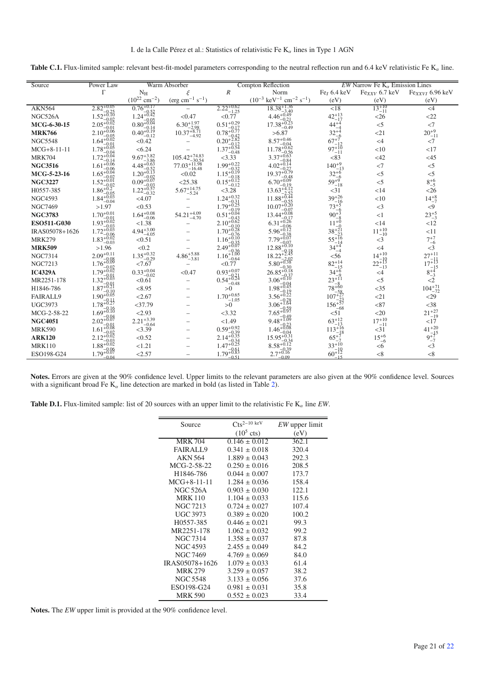**Table C.1.** Flux-limited sample: relevant best-fit-model parameters corresponding to the neutral reflection run and 6.4 keV relativistic Fe  $K_{\alpha}$  line.

| Source         | Power Law                         |                                                | Warm Absorber                         |                                                        | <b>Compton Reflection</b>                                   |                                      | EW Narrow Fe $K_{\alpha}$ Emission Lines |                                      |
|----------------|-----------------------------------|------------------------------------------------|---------------------------------------|--------------------------------------------------------|-------------------------------------------------------------|--------------------------------------|------------------------------------------|--------------------------------------|
|                | $\Gamma$                          | $N_{\rm H}$                                    | ξ                                     | $\boldsymbol{R}$                                       | Norm                                                        | Fe <sub><math>I</math></sub> 6.4 keV | $Fe_{XXV}$ 6.7 keV                       | $Fe_{XXVI}$ 6.96 keV                 |
|                |                                   | $(10^{22}$ cm <sup>-2</sup> )                  | $(\text{erg cm}^{-1} \text{ s}^{-1})$ |                                                        | $(10^{-3} \text{ keV}^{-1} \text{ cm}^{-2} \text{ s}^{-1})$ | (eV)                                 | (eV)                                     | (eV)                                 |
| <b>AKN564</b>  | $2.82^{+0.05}_{-0.05}$            | $0.76^{+0.17}$                                 |                                       | $2.22_{-1.25}^{+0.62}$                                 | $18.38^{+1.36}_{-2.40}$                                     | $\overline{<}18$                     | $13^{+10}_{-11}$                         | $<$ 4                                |
| NGC526A        | $1.52^{+0.25}_{-0.10}$            | $1.24 + 0.52$                                  | < 0.47                                | < 0.77                                                 | $4.46^{+0.49}_{-0.49}$                                      | $42^{+13}_{-17}$                     | <26                                      | <22                                  |
| MCG-6-30-15    | $2.05^{+0.02}_{+0.02}$            | $0.80^{+0.05}_{-0.04}$                         | $6.30^{+1.97}$                        | $0.51^{+0.29}$                                         | $17.38^{+0.21}_{-0.12}$<br>$-0.49$                          | $44^{+4}$                            | $<$ 5                                    | $<$ 7                                |
| <b>MRK766</b>  | $2.10^{+0.06}_{-0.06}$            | $0.40_{-0.19}^{+0.14}$                         | $10.37 + 8.71$<br>$-4.92$             | $0.78_{-0.77}^{+0.17}$                                 | >6.87                                                       | $32^{+4}$                            | <21                                      | $20^{+9}_{-11}$                      |
| <b>NGC5548</b> | $1.64^{+0.02}_{-0.02}$            | < 0.42                                         |                                       | $0.20_{-6}^{-0.42}$                                    | $8.57^{+0.46}$                                              | $67^{+7}_{-12}$                      | $<$ 4                                    | $<$ 7                                |
| $MCG+8-11-11$  | $1.78^{+0.05}_{-0.05}$            | < 6.24                                         |                                       | $1.37^{+0.12}_{+0.54}$<br>$-0.48$                      | $11.78 + 0.62$                                              | $97 + 10$<br>$-11$                   | <10                                      | <17                                  |
| <b>MRK704</b>  | $1.72_{+0.04}^{-0.04}$            | 9.67 <sup>+3.82</sup><br>4.48 <sup>+0.63</sup> | $105.42^{+74.83}_{-4.62}$             | $<$ 3.33                                               | 3.37                                                        | < 83                                 | $<$ 42                                   | $<$ 45                               |
| <b>NGC3516</b> | $1.61_{-0.06}^{+0.06}$            |                                                | $77.03^{+11.98}_{-30.54}$<br>$-16.48$ | $1.99^{+0.22}_{-0.32}$<br>$1.15^{+0.19}_{-0.18}$       |                                                             | $140^{+9}$ .                         | $<$ 7                                    | $<$ 5                                |
| MCG-5-23-16    | $1.65^{+0.06}_{-0.04}$            | $1.20^{+0.13}_{-0.13}$                         | < 0.02                                |                                                        | $19.37^{+0.79}_{-0.49}$                                     | $32^{+6}$                            | $<$ 5                                    | $<$ 5                                |
| <b>NGC3227</b> | $1.52^{+0.01}_{-0.01}$            | $0.09^{+0.07}_{-0.07}$                         | < 25.38                               | $\frac{15}{6}$ $\frac{-0.18}{12}$                      | $6.70^{+0.09}$                                              | $59^{+9}_{-18}$                      | $<$ 5                                    | $8^{+6}_{-5}$                        |
| H0557-385      | $1.86^{+0.02}_{+0.2}$             | $0.09 - 0.03$<br>$1.22 + 0.57$<br>$-0.32$      | $5.67 + 14.75$<br>$-5.24$             | < 3.28                                                 | $13.63 + 4.12$                                              | <31                                  | $<$ 14                                   | <26                                  |
| <b>NGC4593</b> | $1.84^{+0.03}_{+0.03}$<br>$-0.04$ | < 4.07                                         |                                       | $1.24^{+0.32}_{-0.32}$                                 | $11.88^{+0.44}_{+0.44}$                                     | $39+26$                              | <10                                      | $14^{+8}_{-7}$                       |
| <b>NGC7469</b> | >1.97                             | < 0.53                                         |                                       | $1.79 + 0.31$<br>$-0.19$                               | $10.07\substack{+0.55 \\ 0.20}$                             | $73+5$                               | $<$ 3                                    | < 9                                  |
| <b>NGC3783</b> | $1.70^{+0.01}_{-0.01}$            | $1.64^{+0.08}_{-0.06}$                         | $54.21^{+4.09}$<br>$-4.70$            | $0.51_{6}^{+0.04}$                                     | $13.44^{+0.08}_{-0.08}$                                     | $90^{+3}$                            | <1                                       | $23^{+5}_{-3}$                       |
| ESO511-G030    | $1.93 + 0.02$                     | < 1.38                                         |                                       | $2.10^{+0.62}_{-0.12}$                                 | $6.31^{+0.26}_{-0.25}$                                      |                                      | <14                                      | <12                                  |
| IRAS05078+1626 | $1.72^{+0.03}$                    | $4.94^{+3.00}_{-4.05}$                         |                                       | $1.70^{+0.10}_{+0.28}$                                 | $5.96^{+0.12}_{+0.12}$                                      | $38^{+21}_{-22}$                     | $11^{+10}_{-10}$                         | <11                                  |
| <b>MRK279</b>  | $1.83_{+0.02}^{-0.06}$<br>$-0.03$ | < 0.51                                         |                                       | $1.16_{-0.10}^{0.76}$                                  | $7.79^{+0.38}_{+0.07}$                                      | $55^{+16}$                           | $<$ 3                                    | $7^{+7}_{-6}$                        |
| <b>MRK509</b>  | >1.96                             | < 0.2                                          |                                       | $2.49^{+0.35}_{+0.07}$                                 | $12.88^{+0.10}_{-0.10}$                                     | $34^{+4}_{-4}$                       | $\leq 4$                                 | $<$ 3                                |
| <b>NGC7314</b> | $2.09^{+0.11}$                    | $1.35_{-0.29}^{+0.32}$                         | $4.86^{+5.88}_{-2.8}$<br>$-3.81$      | $^{2.49}$ -0.36<br>1.16 <sup>+1.00</sup>               | 18.22                                                       | $<$ 56                               |                                          | $27^{+11}_{-11}$<br>$17^{+13}_{-15}$ |
| <b>NGC7213</b> | $1.76^{+0.09}_{-0.09}$            | < 7.67                                         |                                       | < 0.77                                                 | $5.80^{+0.38}_{-0.28}$                                      | $82^{+14}_{-15}$                     | $14^{+10}_{-19}$<br>$22^{+13}_{-13}$     |                                      |
| <b>IC4329A</b> | $1.79^{+0.02}_{-0.02}$            | $0.33_{-0.02}^{+0.04}$                         | < 0.47                                | $0.93^{+0.07}_{-0.07}$                                 | $26.85^{+0.18}_{-0.27}$                                     | $34^{+6}$                            | $\leq 4$                                 | $8^{+4}_{-3}$                        |
| MR2251-178     | $1.32^{+0.03}$                    | < 0.61                                         |                                       | $0.93_{-0.21}^{0.93_{-0.21}}$<br>0.54 <sup>+0.24</sup> | $3.06^{+0.10}$                                              | $23^{+11}$                           | $<$ 5                                    | $\overline{2}$                       |
| H1846-786      | $1.87^{+0.01}_{-0.21}$            | < 8.95                                         |                                       | >0                                                     | $1.98^{+0.04}_{-0.45}$                                      | $78 + 60$                            | $<$ 35                                   | $104^{+71}_{-72}$                    |
| FAIRALL9       | $1.90^{+0.05}$                    | < 2.67                                         |                                       | $1.70^{+0.65}$<br>$-1.05$                              | $3.56^{+0.19}_{-0.22}$                                      | $107+27$                             | <21                                      | $29$                                 |
| <b>UGC3973</b> | $1.78^{+0.11}_{+0.27}$            | $<$ 37.79                                      |                                       | >0                                                     | $3.06^{+}$                                                  | $156^{+23}_{-27}$                    | < 87                                     | $<$ 38                               |
| MCG-2-58-22    | $1.69^{+0.16}_{-0.10}$            | < 2.93                                         |                                       | < 3.32                                                 | $7.65^{+0.59}_{+0.97}$                                      | < 51                                 | $<$ 20                                   | $21^{+27}_{-19}$                     |
| <b>NGC4051</b> | $2.02_{+0.07}^{+0.04}$            | $2.21_{-0.64}^{+3.39}$                         |                                       | < 1.49                                                 | $9.48^{+1.09}_{-0.09}$                                      | $63+12$<br>$-13$                     | $17^{+10}_{-11}$                         | <17                                  |
| <b>MRK590</b>  | $1.61_{2.08}^{+0.08}$             | <3.39                                          |                                       | $0.59^{+0.92}$                                         |                                                             | $113+16$                             | $<$ 31                                   | $41 + 20$                            |
| <b>ARK120</b>  | $2.12^{+0.02}_{-0.02}$            | < 0.52                                         |                                       | $2.14^{+0.35}_{-0.25}$                                 | $15.95^{+0.3}$                                              | $65^{+}$                             | $15^{+6}_{-6}$                           | $\frac{1}{9+7}$ = $\frac{1}{7}$      |
| <b>MRK110</b>  | $1.88^{+0.02}_{-0.02}$            | < 1.21                                         |                                       | $1.47^{+0.25}$                                         | $8.58^{+0.12}_{-0.34}$                                      | $33^{+10}$                           | <6                                       | $\leq$ 3                             |
| ESO198-G24     | $1.79^{+0.06}_{+0.07}$            | < 2.57                                         |                                       | $1.79^{+0.61}_{-0.83}$                                 | $2.7^{+0.16}$                                               | $60^{+12}$                           | < 8                                      | < 8                                  |

**Notes.** Errors are given at the 90% confidence level. Upper limits to the relevant parameters are also given at the 90% confidence level. Sources with a significant broad Fe  $K_{\alpha}$  line detection are marked in bold (as listed in Table 2).

**Table D.1.** Flux-limited sample: list of 20 sources with an upper limit to the relativistic Fe  $K_{\alpha}$  line *EW*.

| Source              | $Cts^{2-10 \text{ keV}}$ | <i>EW</i> upper limit |  |
|---------------------|--------------------------|-----------------------|--|
|                     | $(10^5 \text{ cts})$     | (eV)                  |  |
| <b>MRK 704</b>      | $0.146 \pm 0.012$        | 362.1                 |  |
| FAIRALL9            | $0.341 \pm 0.018$        | 320.4                 |  |
| AKN 564             | $1.889 \pm 0.043$        | 292.3                 |  |
| MCG-2-58-22         | $0.250 \pm 0.016$        | 208.5                 |  |
| H1846-786           | $0.044 \pm 0.007$        | 173.7                 |  |
| $MCG + 8 - 11 - 11$ | $1.284 \pm 0.036$        | 158.4                 |  |
| <b>NGC 526A</b>     | $0.903 \pm 0.030$        | 122.1                 |  |
| <b>MRK110</b>       | $1.104 \pm 0.033$        | 115.6                 |  |
| NGC 7213            | $0.724 \pm 0.027$        | 107.4                 |  |
| UGC 3973            | $0.389 \pm 0.020$        | 100.2                 |  |
| H0557-385           | $0.446 \pm 0.021$        | 99.3                  |  |
| MR2251-178          | $1.062 \pm 0.032$        | 99.2                  |  |
| NGC 7314            | $1.358 \pm 0.037$        | 87.8                  |  |
| NGC 4593            | $2.455 \pm 0.049$        | 84.2                  |  |
| <b>NGC 7469</b>     | $4.769 \pm 0.069$        | 84.0                  |  |
| IRAS05078+1626      | $1.079 \pm 0.033$        | 61.4                  |  |
| <b>MRK 279</b>      | $3.259 \pm 0.057$        | 38.2                  |  |
| NGC 5548            | $3.133 \pm 0.056$        | 37.6                  |  |
| ESO198-G24          | $0.981 \pm 0.031$        | 35.8                  |  |
| <b>MRK 590</b>      | $0.552 \pm 0.023$        | 33.4                  |  |

**Notes.** The *EW* upper limit is provided at the 90% confidence level.